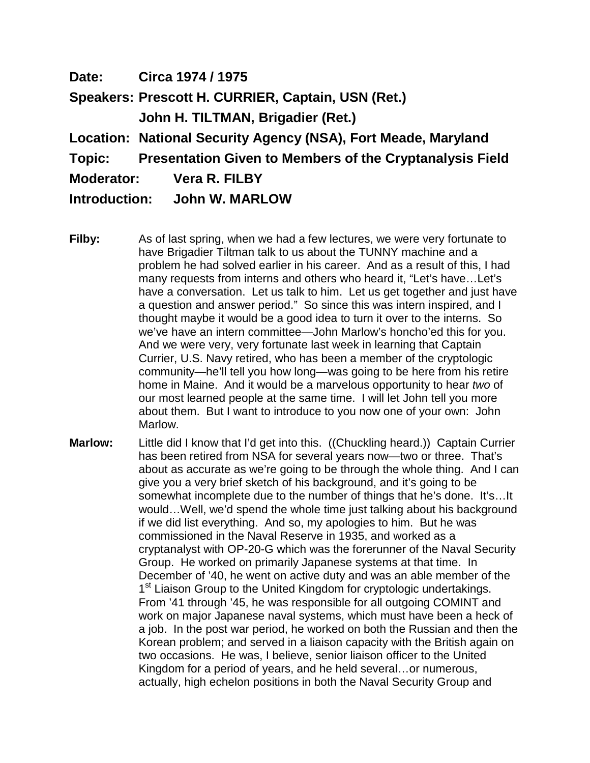**Date: Circa 1974 / 1975 Speakers: Prescott H. CURRIER, Captain, USN (Ret.) John H. TILTMAN, Brigadier (Ret.) Location: National Security Agency (NSA), Fort Meade, Maryland Topic: Presentation Given to Members of the Cryptanalysis Field Moderator: Vera R. FILBY Introduction: John W. MARLOW**

- **Filby:** As of last spring, when we had a few lectures, we were very fortunate to have Brigadier Tiltman talk to us about the TUNNY machine and a problem he had solved earlier in his career. And as a result of this, I had many requests from interns and others who heard it, "Let's have…Let's have a conversation. Let us talk to him. Let us get together and just have a question and answer period." So since this was intern inspired, and I thought maybe it would be a good idea to turn it over to the interns. So we've have an intern committee—John Marlow's honcho'ed this for you. And we were very, very fortunate last week in learning that Captain Currier, U.S. Navy retired, who has been a member of the cryptologic community—he'll tell you how long—was going to be here from his retire home in Maine. And it would be a marvelous opportunity to hear *two* of our most learned people at the same time. I will let John tell you more about them. But I want to introduce to you now one of your own: John Marlow.
- **Marlow:** Little did I know that I'd get into this. ((Chuckling heard.)) Captain Currier has been retired from NSA for several years now—two or three. That's about as accurate as we're going to be through the whole thing. And I can give you a very brief sketch of his background, and it's going to be somewhat incomplete due to the number of things that he's done. It's…It would…Well, we'd spend the whole time just talking about his background if we did list everything. And so, my apologies to him. But he was commissioned in the Naval Reserve in 1935, and worked as a cryptanalyst with OP-20-G which was the forerunner of the Naval Security Group. He worked on primarily Japanese systems at that time. In December of '40, he went on active duty and was an able member of the 1<sup>st</sup> Liaison Group to the United Kingdom for cryptologic undertakings. From '41 through '45, he was responsible for all outgoing COMINT and work on major Japanese naval systems, which must have been a heck of a job. In the post war period, he worked on both the Russian and then the Korean problem; and served in a liaison capacity with the British again on two occasions. He was, I believe, senior liaison officer to the United Kingdom for a period of years, and he held several…or numerous, actually, high echelon positions in both the Naval Security Group and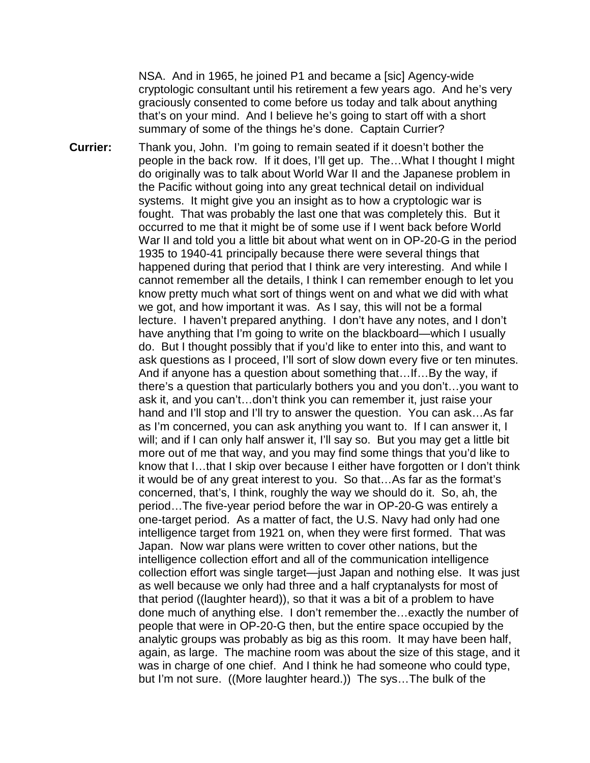NSA. And in 1965, he joined P1 and became a [sic] Agency-wide cryptologic consultant until his retirement a few years ago. And he's very graciously consented to come before us today and talk about anything that's on your mind. And I believe he's going to start off with a short summary of some of the things he's done. Captain Currier?

**Currier:** Thank you, John. I'm going to remain seated if it doesn't bother the people in the back row. If it does, I'll get up. The…What I thought I might do originally was to talk about World War II and the Japanese problem in the Pacific without going into any great technical detail on individual systems. It might give you an insight as to how a cryptologic war is fought. That was probably the last one that was completely this. But it occurred to me that it might be of some use if I went back before World War II and told you a little bit about what went on in OP-20-G in the period 1935 to 1940-41 principally because there were several things that happened during that period that I think are very interesting. And while I cannot remember all the details, I think I can remember enough to let you know pretty much what sort of things went on and what we did with what we got, and how important it was. As I say, this will not be a formal lecture. I haven't prepared anything. I don't have any notes, and I don't have anything that I'm going to write on the blackboard—which I usually do. But I thought possibly that if you'd like to enter into this, and want to ask questions as I proceed, I'll sort of slow down every five or ten minutes. And if anyone has a question about something that…If…By the way, if there's a question that particularly bothers you and you don't…you want to ask it, and you can't…don't think you can remember it, just raise your hand and I'll stop and I'll try to answer the question. You can ask...As far as I'm concerned, you can ask anything you want to. If I can answer it, I will; and if I can only half answer it, I'll say so. But you may get a little bit more out of me that way, and you may find some things that you'd like to know that I…that I skip over because I either have forgotten or I don't think it would be of any great interest to you. So that…As far as the format's concerned, that's, I think, roughly the way we should do it. So, ah, the period…The five-year period before the war in OP-20-G was entirely a one-target period. As a matter of fact, the U.S. Navy had only had one intelligence target from 1921 on, when they were first formed. That was Japan. Now war plans were written to cover other nations, but the intelligence collection effort and all of the communication intelligence collection effort was single target—just Japan and nothing else. It was just as well because we only had three and a half cryptanalysts for most of that period ((laughter heard)), so that it was a bit of a problem to have done much of anything else. I don't remember the…exactly the number of people that were in OP-20-G then, but the entire space occupied by the analytic groups was probably as big as this room. It may have been half, again, as large. The machine room was about the size of this stage, and it was in charge of one chief. And I think he had someone who could type, but I'm not sure. ((More laughter heard.)) The sys…The bulk of the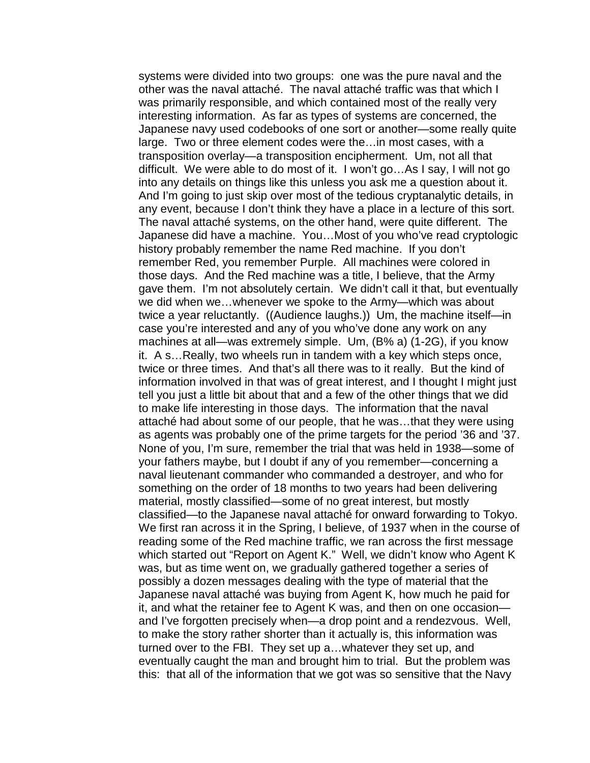systems were divided into two groups: one was the pure naval and the other was the naval attaché. The naval attaché traffic was that which I was primarily responsible, and which contained most of the really very interesting information. As far as types of systems are concerned, the Japanese navy used codebooks of one sort or another—some really quite large. Two or three element codes were the…in most cases, with a transposition overlay—a transposition encipherment. Um, not all that difficult. We were able to do most of it. I won't go…As I say, I will not go into any details on things like this unless you ask me a question about it. And I'm going to just skip over most of the tedious cryptanalytic details, in any event, because I don't think they have a place in a lecture of this sort. The naval attaché systems, on the other hand, were quite different. The Japanese did have a machine. You…Most of you who've read cryptologic history probably remember the name Red machine. If you don't remember Red, you remember Purple. All machines were colored in those days. And the Red machine was a title, I believe, that the Army gave them. I'm not absolutely certain. We didn't call it that, but eventually we did when we…whenever we spoke to the Army—which was about twice a year reluctantly. ((Audience laughs.)) Um, the machine itself—in case you're interested and any of you who've done any work on any machines at all—was extremely simple. Um, (B% a) (1-2G), if you know it. A s…Really, two wheels run in tandem with a key which steps once, twice or three times. And that's all there was to it really. But the kind of information involved in that was of great interest, and I thought I might just tell you just a little bit about that and a few of the other things that we did to make life interesting in those days. The information that the naval attaché had about some of our people, that he was…that they were using as agents was probably one of the prime targets for the period '36 and '37. None of you, I'm sure, remember the trial that was held in 1938—some of your fathers maybe, but I doubt if any of you remember—concerning a naval lieutenant commander who commanded a destroyer, and who for something on the order of 18 months to two years had been delivering material, mostly classified—some of no great interest, but mostly classified—to the Japanese naval attaché for onward forwarding to Tokyo. We first ran across it in the Spring, I believe, of 1937 when in the course of reading some of the Red machine traffic, we ran across the first message which started out "Report on Agent K." Well, we didn't know who Agent K was, but as time went on, we gradually gathered together a series of possibly a dozen messages dealing with the type of material that the Japanese naval attaché was buying from Agent K, how much he paid for it, and what the retainer fee to Agent K was, and then on one occasion and I've forgotten precisely when—a drop point and a rendezvous. Well, to make the story rather shorter than it actually is, this information was turned over to the FBI. They set up a…whatever they set up, and eventually caught the man and brought him to trial. But the problem was this: that all of the information that we got was so sensitive that the Navy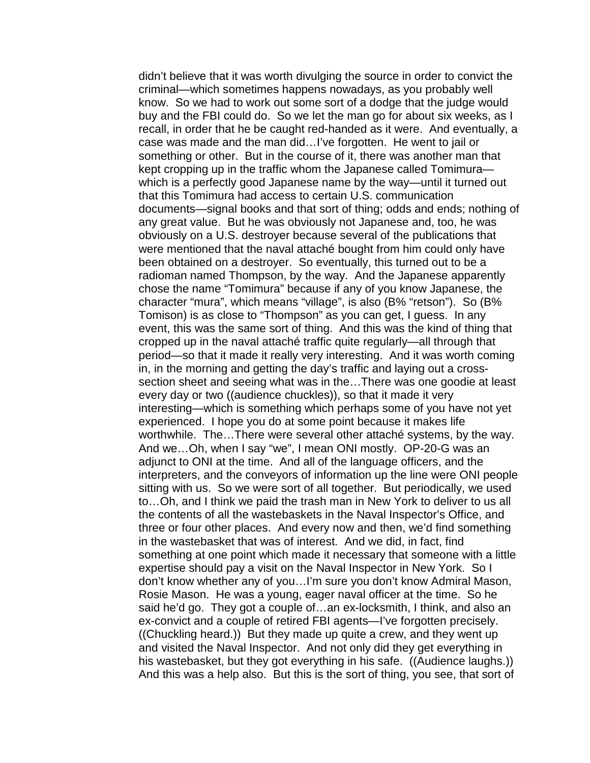didn't believe that it was worth divulging the source in order to convict the criminal—which sometimes happens nowadays, as you probably well know. So we had to work out some sort of a dodge that the judge would buy and the FBI could do. So we let the man go for about six weeks, as I recall, in order that he be caught red-handed as it were. And eventually, a case was made and the man did…I've forgotten. He went to jail or something or other. But in the course of it, there was another man that kept cropping up in the traffic whom the Japanese called Tomimura which is a perfectly good Japanese name by the way—until it turned out that this Tomimura had access to certain U.S. communication documents—signal books and that sort of thing; odds and ends; nothing of any great value. But he was obviously not Japanese and, too, he was obviously on a U.S. destroyer because several of the publications that were mentioned that the naval attaché bought from him could only have been obtained on a destroyer. So eventually, this turned out to be a radioman named Thompson, by the way. And the Japanese apparently chose the name "Tomimura" because if any of you know Japanese, the character "mura", which means "village", is also (B% "retson"). So (B% Tomison) is as close to "Thompson" as you can get, I guess. In any event, this was the same sort of thing. And this was the kind of thing that cropped up in the naval attaché traffic quite regularly—all through that period—so that it made it really very interesting. And it was worth coming in, in the morning and getting the day's traffic and laying out a crosssection sheet and seeing what was in the…There was one goodie at least every day or two ((audience chuckles)), so that it made it very interesting—which is something which perhaps some of you have not yet experienced. I hope you do at some point because it makes life worthwhile. The…There were several other attaché systems, by the way. And we…Oh, when I say "we", I mean ONI mostly. OP-20-G was an adjunct to ONI at the time. And all of the language officers, and the interpreters, and the conveyors of information up the line were ONI people sitting with us. So we were sort of all together. But periodically, we used to…Oh, and I think we paid the trash man in New York to deliver to us all the contents of all the wastebaskets in the Naval Inspector's Office, and three or four other places. And every now and then, we'd find something in the wastebasket that was of interest. And we did, in fact, find something at one point which made it necessary that someone with a little expertise should pay a visit on the Naval Inspector in New York. So I don't know whether any of you…I'm sure you don't know Admiral Mason, Rosie Mason. He was a young, eager naval officer at the time. So he said he'd go. They got a couple of…an ex-locksmith, I think, and also an ex-convict and a couple of retired FBI agents—I've forgotten precisely. ((Chuckling heard.)) But they made up quite a crew, and they went up and visited the Naval Inspector. And not only did they get everything in his wastebasket, but they got everything in his safe. ((Audience laughs.)) And this was a help also. But this is the sort of thing, you see, that sort of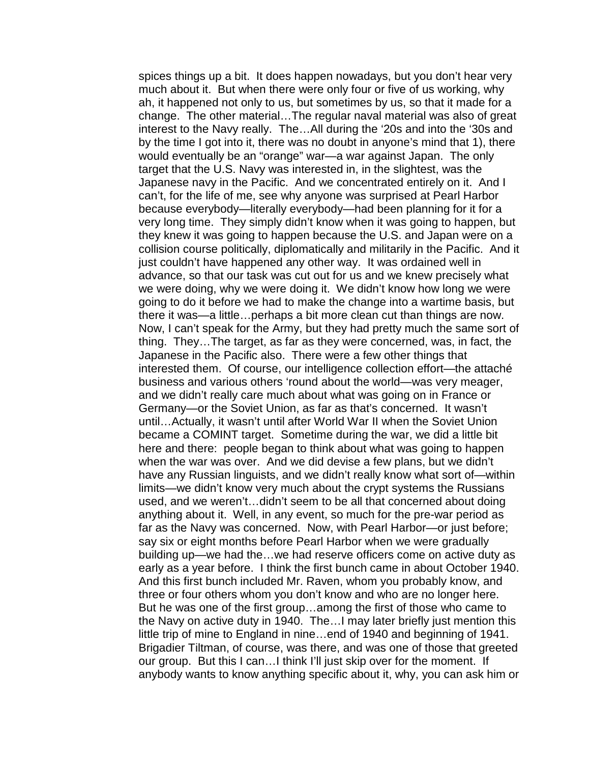spices things up a bit. It does happen nowadays, but you don't hear very much about it. But when there were only four or five of us working, why ah, it happened not only to us, but sometimes by us, so that it made for a change. The other material…The regular naval material was also of great interest to the Navy really. The…All during the '20s and into the '30s and by the time I got into it, there was no doubt in anyone's mind that 1), there would eventually be an "orange" war—a war against Japan. The only target that the U.S. Navy was interested in, in the slightest, was the Japanese navy in the Pacific. And we concentrated entirely on it. And I can't, for the life of me, see why anyone was surprised at Pearl Harbor because everybody—literally everybody—had been planning for it for a very long time. They simply didn't know when it was going to happen, but they knew it was going to happen because the U.S. and Japan were on a collision course politically, diplomatically and militarily in the Pacific. And it just couldn't have happened any other way. It was ordained well in advance, so that our task was cut out for us and we knew precisely what we were doing, why we were doing it. We didn't know how long we were going to do it before we had to make the change into a wartime basis, but there it was—a little…perhaps a bit more clean cut than things are now. Now, I can't speak for the Army, but they had pretty much the same sort of thing. They…The target, as far as they were concerned, was, in fact, the Japanese in the Pacific also. There were a few other things that interested them. Of course, our intelligence collection effort—the attaché business and various others 'round about the world—was very meager, and we didn't really care much about what was going on in France or Germany—or the Soviet Union, as far as that's concerned. It wasn't until…Actually, it wasn't until after World War II when the Soviet Union became a COMINT target. Sometime during the war, we did a little bit here and there: people began to think about what was going to happen when the war was over. And we did devise a few plans, but we didn't have any Russian linguists, and we didn't really know what sort of—within limits—we didn't know very much about the crypt systems the Russians used, and we weren't…didn't seem to be all that concerned about doing anything about it. Well, in any event, so much for the pre-war period as far as the Navy was concerned. Now, with Pearl Harbor—or just before; say six or eight months before Pearl Harbor when we were gradually building up—we had the…we had reserve officers come on active duty as early as a year before. I think the first bunch came in about October 1940. And this first bunch included Mr. Raven, whom you probably know, and three or four others whom you don't know and who are no longer here. But he was one of the first group…among the first of those who came to the Navy on active duty in 1940. The…I may later briefly just mention this little trip of mine to England in nine…end of 1940 and beginning of 1941. Brigadier Tiltman, of course, was there, and was one of those that greeted our group. But this I can...I think I'll just skip over for the moment. If anybody wants to know anything specific about it, why, you can ask him or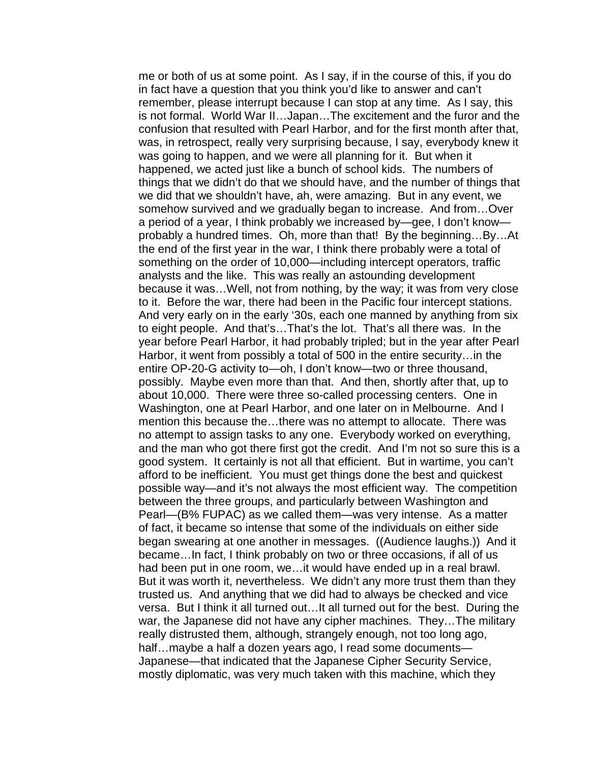me or both of us at some point. As I say, if in the course of this, if you do in fact have a question that you think you'd like to answer and can't remember, please interrupt because I can stop at any time. As I say, this is not formal. World War II…Japan…The excitement and the furor and the confusion that resulted with Pearl Harbor, and for the first month after that, was, in retrospect, really very surprising because, I say, everybody knew it was going to happen, and we were all planning for it. But when it happened, we acted just like a bunch of school kids. The numbers of things that we didn't do that we should have, and the number of things that we did that we shouldn't have, ah, were amazing. But in any event, we somehow survived and we gradually began to increase. And from…Over a period of a year, I think probably we increased by—gee, I don't know probably a hundred times. Oh, more than that! By the beginning…By…At the end of the first year in the war, I think there probably were a total of something on the order of 10,000—including intercept operators, traffic analysts and the like. This was really an astounding development because it was…Well, not from nothing, by the way; it was from very close to it. Before the war, there had been in the Pacific four intercept stations. And very early on in the early '30s, each one manned by anything from six to eight people. And that's…That's the lot. That's all there was. In the year before Pearl Harbor, it had probably tripled; but in the year after Pearl Harbor, it went from possibly a total of 500 in the entire security…in the entire OP-20-G activity to—oh, I don't know—two or three thousand, possibly. Maybe even more than that. And then, shortly after that, up to about 10,000. There were three so-called processing centers. One in Washington, one at Pearl Harbor, and one later on in Melbourne. And I mention this because the…there was no attempt to allocate. There was no attempt to assign tasks to any one. Everybody worked on everything, and the man who got there first got the credit. And I'm not so sure this is a good system. It certainly is not all that efficient. But in wartime, you can't afford to be inefficient. You must get things done the best and quickest possible way—and it's not always the most efficient way. The competition between the three groups, and particularly between Washington and Pearl—(B% FUPAC) as we called them—was very intense. As a matter of fact, it became so intense that some of the individuals on either side began swearing at one another in messages. ((Audience laughs.)) And it became…In fact, I think probably on two or three occasions, if all of us had been put in one room, we…it would have ended up in a real brawl. But it was worth it, nevertheless. We didn't any more trust them than they trusted us. And anything that we did had to always be checked and vice versa. But I think it all turned out…It all turned out for the best. During the war, the Japanese did not have any cipher machines. They…The military really distrusted them, although, strangely enough, not too long ago, half... maybe a half a dozen years ago, I read some documents— Japanese—that indicated that the Japanese Cipher Security Service, mostly diplomatic, was very much taken with this machine, which they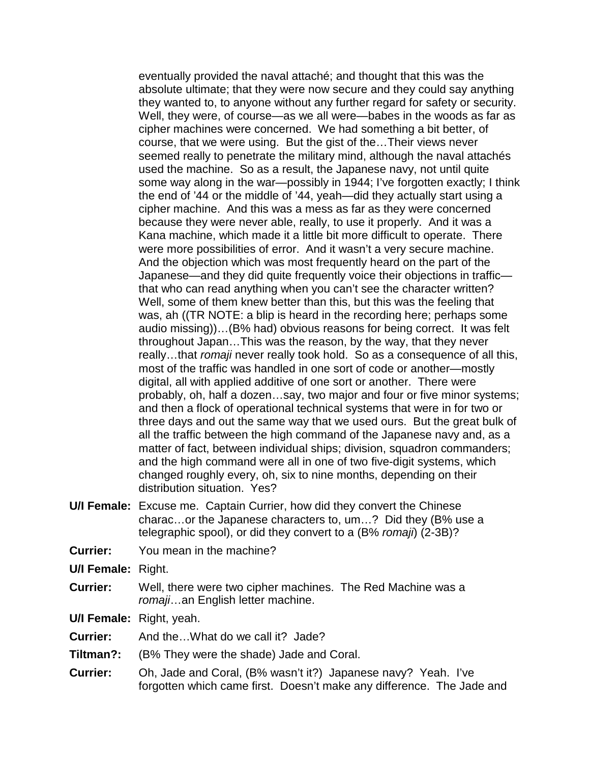eventually provided the naval attaché; and thought that this was the absolute ultimate; that they were now secure and they could say anything they wanted to, to anyone without any further regard for safety or security. Well, they were, of course—as we all were—babes in the woods as far as cipher machines were concerned. We had something a bit better, of course, that we were using. But the gist of the…Their views never seemed really to penetrate the military mind, although the naval attachés used the machine. So as a result, the Japanese navy, not until quite some way along in the war—possibly in 1944; I've forgotten exactly; I think the end of '44 or the middle of '44, yeah—did they actually start using a cipher machine. And this was a mess as far as they were concerned because they were never able, really, to use it properly. And it was a Kana machine, which made it a little bit more difficult to operate. There were more possibilities of error. And it wasn't a very secure machine. And the objection which was most frequently heard on the part of the Japanese—and they did quite frequently voice their objections in traffic that who can read anything when you can't see the character written? Well, some of them knew better than this, but this was the feeling that was, ah ((TR NOTE: a blip is heard in the recording here; perhaps some audio missing))…(B% had) obvious reasons for being correct. It was felt throughout Japan…This was the reason, by the way, that they never really…that *romaji* never really took hold. So as a consequence of all this, most of the traffic was handled in one sort of code or another—mostly digital, all with applied additive of one sort or another. There were probably, oh, half a dozen…say, two major and four or five minor systems; and then a flock of operational technical systems that were in for two or three days and out the same way that we used ours. But the great bulk of all the traffic between the high command of the Japanese navy and, as a matter of fact, between individual ships; division, squadron commanders; and the high command were all in one of two five-digit systems, which changed roughly every, oh, six to nine months, depending on their distribution situation. Yes?

- **U/I Female:** Excuse me. Captain Currier, how did they convert the Chinese charac…or the Japanese characters to, um…? Did they (B% use a telegraphic spool), or did they convert to a (B% *romaji*) (2-3B)?
- **Currier:** You mean in the machine?

**U/I Female:** Right.

**Currier:** Well, there were two cipher machines. The Red Machine was a *romaji*…an English letter machine.

**U/I Female:** Right, yeah.

- **Currier:** And the…What do we call it? Jade?
- **Tiltman?:** (B% They were the shade) Jade and Coral.
- **Currier:** Oh, Jade and Coral, (B% wasn't it?) Japanese navy? Yeah. I've forgotten which came first. Doesn't make any difference. The Jade and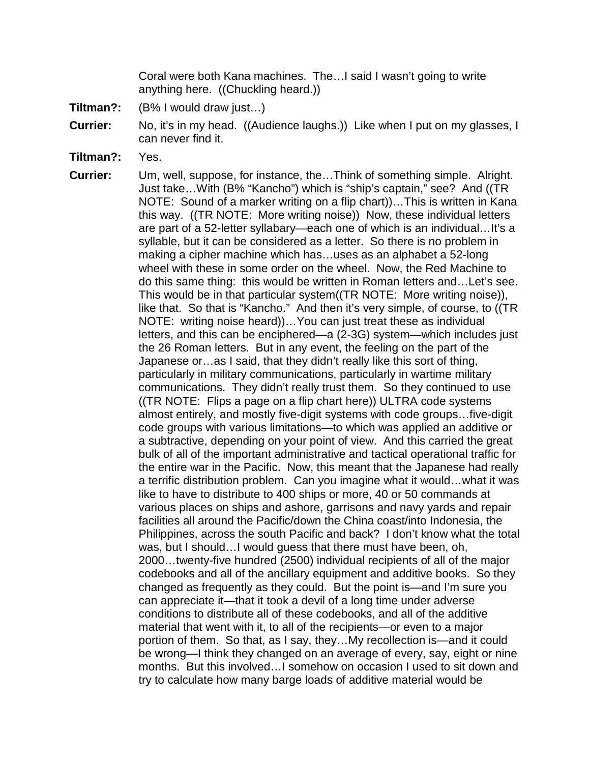Coral were both Kana machines. The…I said I wasn't going to write anything here. ((Chuckling heard.))

- **Tiltman?:** (B% I would draw just…)
- **Currier:** No, it's in my head. ((Audience laughs.)) Like when I put on my glasses, I can never find it.
- **Tiltman?:** Yes.

**Currier:** Um, well, suppose, for instance, the…Think of something simple. Alright. Just take…With (B% "Kancho") which is "ship's captain," see? And ((TR NOTE: Sound of a marker writing on a flip chart))…This is written in Kana this way. ((TR NOTE: More writing noise)) Now, these individual letters are part of a 52-letter syllabary—each one of which is an individual…It's a syllable, but it can be considered as a letter. So there is no problem in making a cipher machine which has…uses as an alphabet a 52-long wheel with these in some order on the wheel. Now, the Red Machine to do this same thing: this would be written in Roman letters and…Let's see. This would be in that particular system((TR NOTE: More writing noise)), like that. So that is "Kancho." And then it's very simple, of course, to ((TR NOTE: writing noise heard))…You can just treat these as individual letters, and this can be enciphered—a (2-3G) system—which includes just the 26 Roman letters. But in any event, the feeling on the part of the Japanese or…as I said, that they didn't really like this sort of thing, particularly in military communications, particularly in wartime military communications. They didn't really trust them. So they continued to use ((TR NOTE: Flips a page on a flip chart here)) ULTRA code systems almost entirely, and mostly five-digit systems with code groups…five-digit code groups with various limitations—to which was applied an additive or a subtractive, depending on your point of view. And this carried the great bulk of all of the important administrative and tactical operational traffic for the entire war in the Pacific. Now, this meant that the Japanese had really a terrific distribution problem. Can you imagine what it would…what it was like to have to distribute to 400 ships or more, 40 or 50 commands at various places on ships and ashore, garrisons and navy yards and repair facilities all around the Pacific/down the China coast/into Indonesia, the Philippines, across the south Pacific and back? I don't know what the total was, but I should…I would guess that there must have been, oh, 2000…twenty-five hundred (2500) individual recipients of all of the major codebooks and all of the ancillary equipment and additive books. So they changed as frequently as they could. But the point is—and I'm sure you can appreciate it—that it took a devil of a long time under adverse conditions to distribute all of these codebooks, and all of the additive material that went with it, to all of the recipients—or even to a major portion of them. So that, as I say, they…My recollection is—and it could be wrong—I think they changed on an average of every, say, eight or nine months. But this involved…I somehow on occasion I used to sit down and try to calculate how many barge loads of additive material would be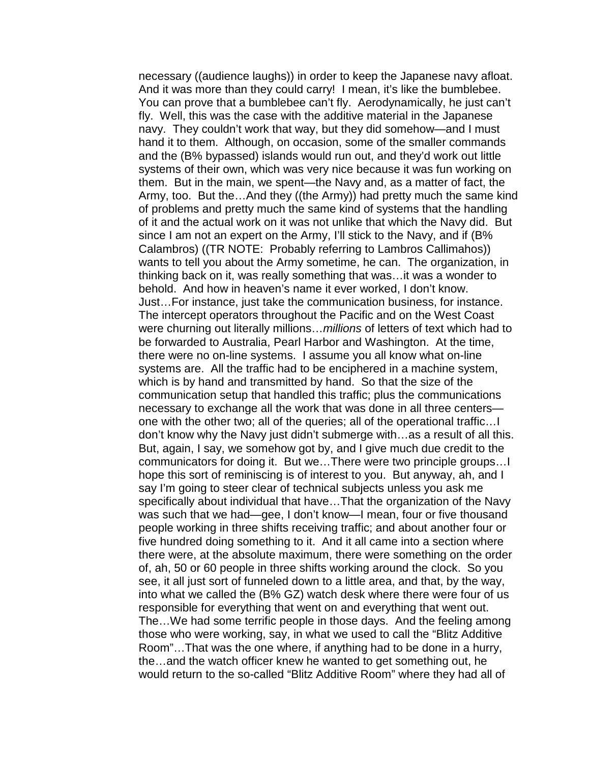necessary ((audience laughs)) in order to keep the Japanese navy afloat. And it was more than they could carry! I mean, it's like the bumblebee. You can prove that a bumblebee can't fly. Aerodynamically, he just can't fly. Well, this was the case with the additive material in the Japanese navy. They couldn't work that way, but they did somehow—and I must hand it to them. Although, on occasion, some of the smaller commands and the (B% bypassed) islands would run out, and they'd work out little systems of their own, which was very nice because it was fun working on them. But in the main, we spent—the Navy and, as a matter of fact, the Army, too. But the…And they ((the Army)) had pretty much the same kind of problems and pretty much the same kind of systems that the handling of it and the actual work on it was not unlike that which the Navy did. But since I am not an expert on the Army, I'll stick to the Navy, and if (B% Calambros) ((TR NOTE: Probably referring to Lambros Callimahos)) wants to tell you about the Army sometime, he can. The organization, in thinking back on it, was really something that was…it was a wonder to behold. And how in heaven's name it ever worked, I don't know. Just…For instance, just take the communication business, for instance. The intercept operators throughout the Pacific and on the West Coast were churning out literally millions…*millions* of letters of text which had to be forwarded to Australia, Pearl Harbor and Washington. At the time, there were no on-line systems. I assume you all know what on-line systems are. All the traffic had to be enciphered in a machine system, which is by hand and transmitted by hand. So that the size of the communication setup that handled this traffic; plus the communications necessary to exchange all the work that was done in all three centers one with the other two; all of the queries; all of the operational traffic…I don't know why the Navy just didn't submerge with…as a result of all this. But, again, I say, we somehow got by, and I give much due credit to the communicators for doing it. But we…There were two principle groups…I hope this sort of reminiscing is of interest to you. But anyway, ah, and I say I'm going to steer clear of technical subjects unless you ask me specifically about individual that have…That the organization of the Navy was such that we had—gee, I don't know—I mean, four or five thousand people working in three shifts receiving traffic; and about another four or five hundred doing something to it. And it all came into a section where there were, at the absolute maximum, there were something on the order of, ah, 50 or 60 people in three shifts working around the clock. So you see, it all just sort of funneled down to a little area, and that, by the way, into what we called the (B% GZ) watch desk where there were four of us responsible for everything that went on and everything that went out. The…We had some terrific people in those days. And the feeling among those who were working, say, in what we used to call the "Blitz Additive Room"…That was the one where, if anything had to be done in a hurry, the…and the watch officer knew he wanted to get something out, he would return to the so-called "Blitz Additive Room" where they had all of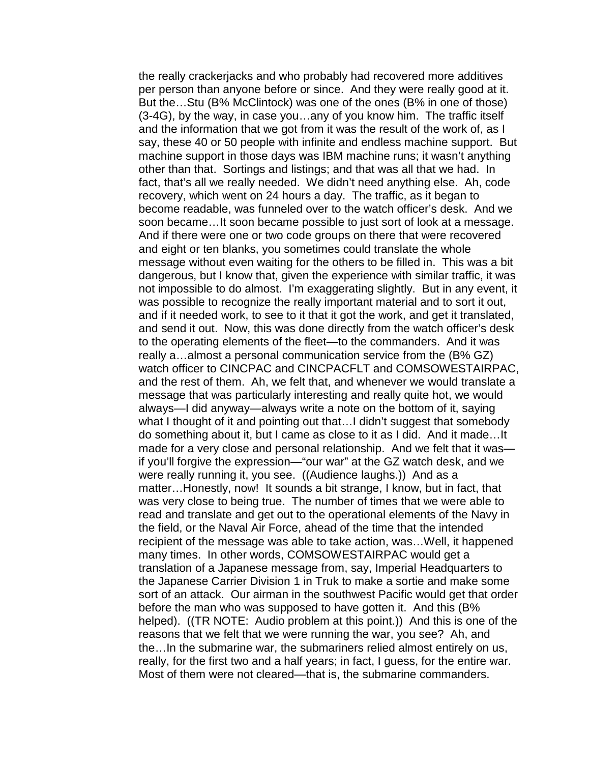the really crackerjacks and who probably had recovered more additives per person than anyone before or since. And they were really good at it. But the…Stu (B% McClintock) was one of the ones (B% in one of those) (3-4G), by the way, in case you…any of you know him. The traffic itself and the information that we got from it was the result of the work of, as I say, these 40 or 50 people with infinite and endless machine support. But machine support in those days was IBM machine runs; it wasn't anything other than that. Sortings and listings; and that was all that we had. In fact, that's all we really needed. We didn't need anything else. Ah, code recovery, which went on 24 hours a day. The traffic, as it began to become readable, was funneled over to the watch officer's desk. And we soon became…It soon became possible to just sort of look at a message. And if there were one or two code groups on there that were recovered and eight or ten blanks, you sometimes could translate the whole message without even waiting for the others to be filled in. This was a bit dangerous, but I know that, given the experience with similar traffic, it was not impossible to do almost. I'm exaggerating slightly. But in any event, it was possible to recognize the really important material and to sort it out, and if it needed work, to see to it that it got the work, and get it translated, and send it out. Now, this was done directly from the watch officer's desk to the operating elements of the fleet—to the commanders. And it was really a…almost a personal communication service from the (B% GZ) watch officer to CINCPAC and CINCPACFLT and COMSOWESTAIRPAC, and the rest of them. Ah, we felt that, and whenever we would translate a message that was particularly interesting and really quite hot, we would always—I did anyway—always write a note on the bottom of it, saying what I thought of it and pointing out that…I didn't suggest that somebody do something about it, but I came as close to it as I did. And it made…It made for a very close and personal relationship. And we felt that it was if you'll forgive the expression—"our war" at the GZ watch desk, and we were really running it, you see. ((Audience laughs.)) And as a matter…Honestly, now! It sounds a bit strange, I know, but in fact, that was very close to being true. The number of times that we were able to read and translate and get out to the operational elements of the Navy in the field, or the Naval Air Force, ahead of the time that the intended recipient of the message was able to take action, was…Well, it happened many times. In other words, COMSOWESTAIRPAC would get a translation of a Japanese message from, say, Imperial Headquarters to the Japanese Carrier Division 1 in Truk to make a sortie and make some sort of an attack. Our airman in the southwest Pacific would get that order before the man who was supposed to have gotten it. And this (B% helped). ((TR NOTE: Audio problem at this point.)) And this is one of the reasons that we felt that we were running the war, you see? Ah, and the…In the submarine war, the submariners relied almost entirely on us, really, for the first two and a half years; in fact, I guess, for the entire war. Most of them were not cleared—that is, the submarine commanders.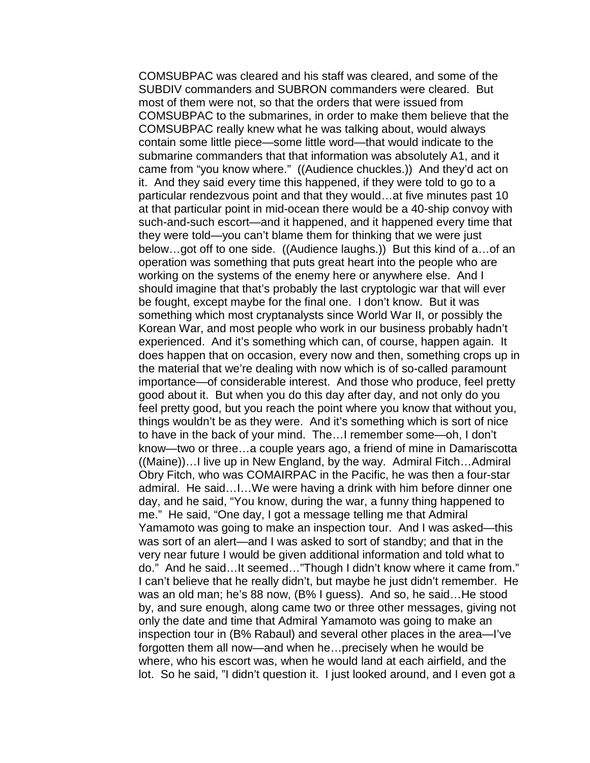COMSUBPAC was cleared and his staff was cleared, and some of the SUBDIV commanders and SUBRON commanders were cleared. But most of them were not, so that the orders that were issued from COMSUBPAC to the submarines, in order to make them believe that the COMSUBPAC really knew what he was talking about, would always contain some little piece—some little word—that would indicate to the submarine commanders that that information was absolutely A1, and it came from "you know where." ((Audience chuckles.)) And they'd act on it. And they said every time this happened, if they were told to go to a particular rendezvous point and that they would…at five minutes past 10 at that particular point in mid-ocean there would be a 40-ship convoy with such-and-such escort—and it happened, and it happened every time that they were told—you can't blame them for thinking that we were just below…got off to one side. ((Audience laughs.)) But this kind of a…of an operation was something that puts great heart into the people who are working on the systems of the enemy here or anywhere else. And I should imagine that that's probably the last cryptologic war that will ever be fought, except maybe for the final one. I don't know. But it was something which most cryptanalysts since World War II, or possibly the Korean War, and most people who work in our business probably hadn't experienced. And it's something which can, of course, happen again. It does happen that on occasion, every now and then, something crops up in the material that we're dealing with now which is of so-called paramount importance—of considerable interest. And those who produce, feel pretty good about it. But when you do this day after day, and not only do you feel pretty good, but you reach the point where you know that without you, things wouldn't be as they were. And it's something which is sort of nice to have in the back of your mind. The…I remember some—oh, I don't know—two or three…a couple years ago, a friend of mine in Damariscotta ((Maine))…I live up in New England, by the way. Admiral Fitch…Admiral Obry Fitch, who was COMAIRPAC in the Pacific, he was then a four-star admiral. He said…I…We were having a drink with him before dinner one day, and he said, "You know, during the war, a funny thing happened to me." He said, "One day, I got a message telling me that Admiral Yamamoto was going to make an inspection tour. And I was asked—this was sort of an alert—and I was asked to sort of standby; and that in the very near future I would be given additional information and told what to do." And he said…It seemed…"Though I didn't know where it came from." I can't believe that he really didn't, but maybe he just didn't remember. He was an old man; he's 88 now, (B% I guess). And so, he said…He stood by, and sure enough, along came two or three other messages, giving not only the date and time that Admiral Yamamoto was going to make an inspection tour in (B% Rabaul) and several other places in the area—I've forgotten them all now—and when he…precisely when he would be where, who his escort was, when he would land at each airfield, and the lot. So he said, "I didn't question it. I just looked around, and I even got a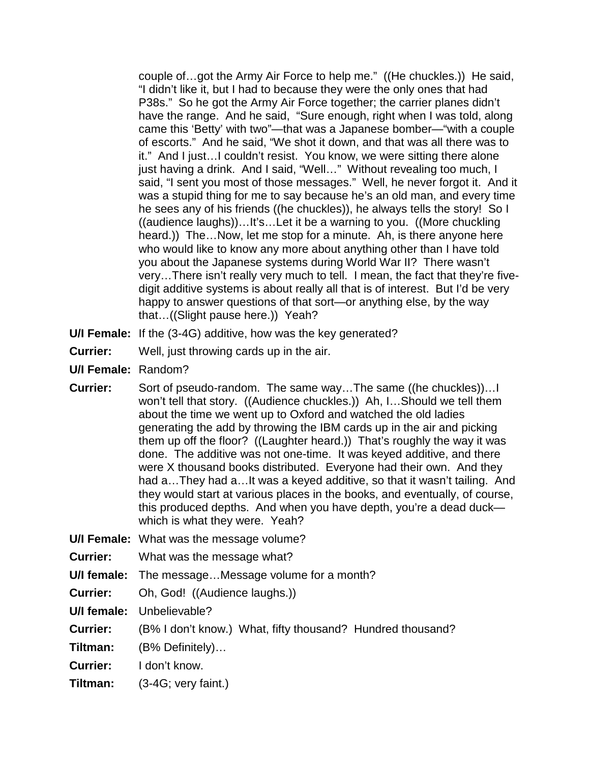couple of…got the Army Air Force to help me." ((He chuckles.)) He said, "I didn't like it, but I had to because they were the only ones that had P38s." So he got the Army Air Force together; the carrier planes didn't have the range. And he said, "Sure enough, right when I was told, along came this 'Betty' with two"—that was a Japanese bomber—"with a couple of escorts." And he said, "We shot it down, and that was all there was to it." And I just…I couldn't resist. You know, we were sitting there alone just having a drink. And I said, "Well…" Without revealing too much, I said, "I sent you most of those messages." Well, he never forgot it. And it was a stupid thing for me to say because he's an old man, and every time he sees any of his friends ((he chuckles)), he always tells the story! So I ((audience laughs))…It's…Let it be a warning to you. ((More chuckling heard.)) The…Now, let me stop for a minute. Ah, is there anyone here who would like to know any more about anything other than I have told you about the Japanese systems during World War II? There wasn't very…There isn't really very much to tell. I mean, the fact that they're fivedigit additive systems is about really all that is of interest. But I'd be very happy to answer questions of that sort—or anything else, by the way that…((Slight pause here.)) Yeah?

- **U/I Female:** If the (3-4G) additive, how was the key generated?
- **Currier:** Well, just throwing cards up in the air.
- **U/I Female:** Random?
- **Currier:** Sort of pseudo-random. The same way…The same ((he chuckles))…I won't tell that story. ((Audience chuckles.)) Ah, I…Should we tell them about the time we went up to Oxford and watched the old ladies generating the add by throwing the IBM cards up in the air and picking them up off the floor? ((Laughter heard.)) That's roughly the way it was done. The additive was not one-time. It was keyed additive, and there were X thousand books distributed. Everyone had their own. And they had a…They had a…It was a keyed additive, so that it wasn't tailing. And they would start at various places in the books, and eventually, of course, this produced depths. And when you have depth, you're a dead duck which is what they were. Yeah?
- **U/I Female:** What was the message volume?
- **Currier:** What was the message what?
- **U/I female:** The message…Message volume for a month?
- **Currier:** Oh, God! ((Audience laughs.))
- **U/I female:** Unbelievable?
- **Currier:** (B% I don't know.) What, fifty thousand? Hundred thousand?
- **Tiltman:** (B% Definitely)…
- **Currier:** I don't know.
- **Tiltman:** (3-4G; very faint.)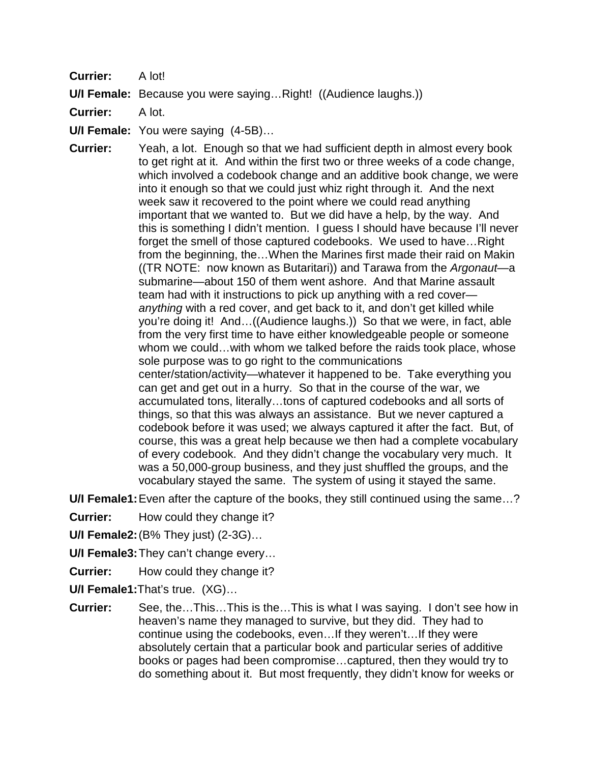**Currier:** A lot!

**U/I Female:** Because you were saying…Right! ((Audience laughs.))

**Currier:** A lot.

**U/I Female:** You were saying (4-5B)…

**Currier:** Yeah, a lot. Enough so that we had sufficient depth in almost every book to get right at it. And within the first two or three weeks of a code change, which involved a codebook change and an additive book change, we were into it enough so that we could just whiz right through it. And the next week saw it recovered to the point where we could read anything important that we wanted to. But we did have a help, by the way. And this is something I didn't mention. I guess I should have because I'll never forget the smell of those captured codebooks. We used to have...Right from the beginning, the…When the Marines first made their raid on Makin ((TR NOTE: now known as Butaritari)) and Tarawa from the *Argonaut*—a submarine—about 150 of them went ashore. And that Marine assault team had with it instructions to pick up anything with a red cover *anything* with a red cover, and get back to it, and don't get killed while you're doing it! And…((Audience laughs.)) So that we were, in fact, able from the very first time to have either knowledgeable people or someone whom we could…with whom we talked before the raids took place, whose sole purpose was to go right to the communications center/station/activity—whatever it happened to be. Take everything you can get and get out in a hurry. So that in the course of the war, we accumulated tons, literally…tons of captured codebooks and all sorts of things, so that this was always an assistance. But we never captured a codebook before it was used; we always captured it after the fact. But, of course, this was a great help because we then had a complete vocabulary of every codebook. And they didn't change the vocabulary very much. It was a 50,000-group business, and they just shuffled the groups, and the vocabulary stayed the same. The system of using it stayed the same.

**U/I Female1:**Even after the capture of the books, they still continued using the same…?

**Currier:** How could they change it?

**U/I Female2:**(B% They just) (2-3G)…

**U/I Female3:**They can't change every…

**Currier:** How could they change it?

**U/I Female1:**That's true. (XG)…

**Currier:** See, the…This…This is the…This is what I was saying. I don't see how in heaven's name they managed to survive, but they did. They had to continue using the codebooks, even…If they weren't…If they were absolutely certain that a particular book and particular series of additive books or pages had been compromise…captured, then they would try to do something about it. But most frequently, they didn't know for weeks or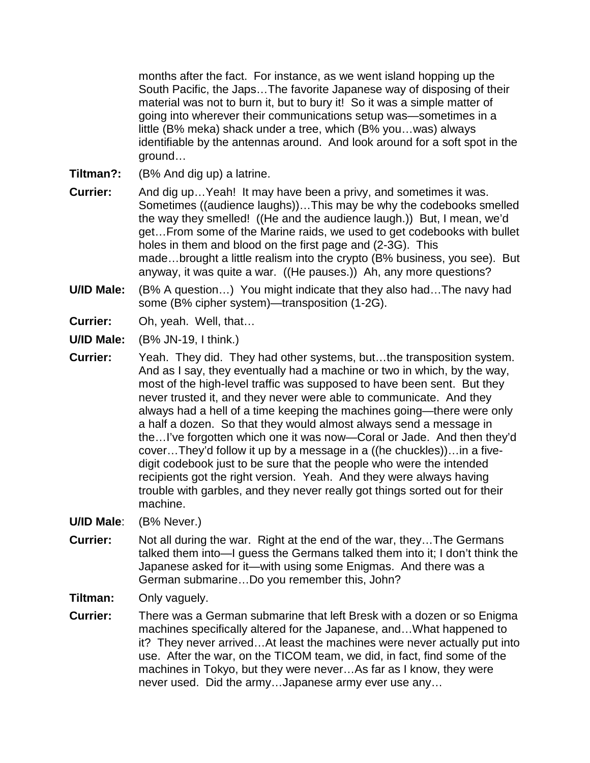months after the fact. For instance, as we went island hopping up the South Pacific, the Japs…The favorite Japanese way of disposing of their material was not to burn it, but to bury it! So it was a simple matter of going into wherever their communications setup was—sometimes in a little (B% meka) shack under a tree, which (B% you…was) always identifiable by the antennas around. And look around for a soft spot in the ground…

**Tiltman?:** (B% And dig up) a latrine.

- **Currier:** And dig up... Yeah! It may have been a privy, and sometimes it was. Sometimes ((audience laughs))…This may be why the codebooks smelled the way they smelled! ((He and the audience laugh.)) But, I mean, we'd get…From some of the Marine raids, we used to get codebooks with bullet holes in them and blood on the first page and (2-3G). This made…brought a little realism into the crypto (B% business, you see). But anyway, it was quite a war. ((He pauses.)) Ah, any more questions?
- **U/ID Male:** (B% A question…) You might indicate that they also had…The navy had some (B% cipher system)—transposition (1-2G).
- **Currier:** Oh, yeah. Well, that…
- **U/ID Male:** (B% JN-19, I think.)
- **Currier:** Yeah. They did. They had other systems, but…the transposition system. And as I say, they eventually had a machine or two in which, by the way, most of the high-level traffic was supposed to have been sent. But they never trusted it, and they never were able to communicate. And they always had a hell of a time keeping the machines going—there were only a half a dozen. So that they would almost always send a message in the…I've forgotten which one it was now—Coral or Jade. And then they'd cover…They'd follow it up by a message in a ((he chuckles))…in a fivedigit codebook just to be sure that the people who were the intended recipients got the right version. Yeah. And they were always having trouble with garbles, and they never really got things sorted out for their machine.

**U/ID Male**: (B% Never.)

**Currier:** Not all during the war. Right at the end of the war, they…The Germans talked them into—I guess the Germans talked them into it; I don't think the Japanese asked for it—with using some Enigmas. And there was a German submarine…Do you remember this, John?

**Tiltman:** Only vaguely.

**Currier:** There was a German submarine that left Bresk with a dozen or so Enigma machines specifically altered for the Japanese, and…What happened to it? They never arrived…At least the machines were never actually put into use. After the war, on the TICOM team, we did, in fact, find some of the machines in Tokyo, but they were never…As far as I know, they were never used. Did the army…Japanese army ever use any…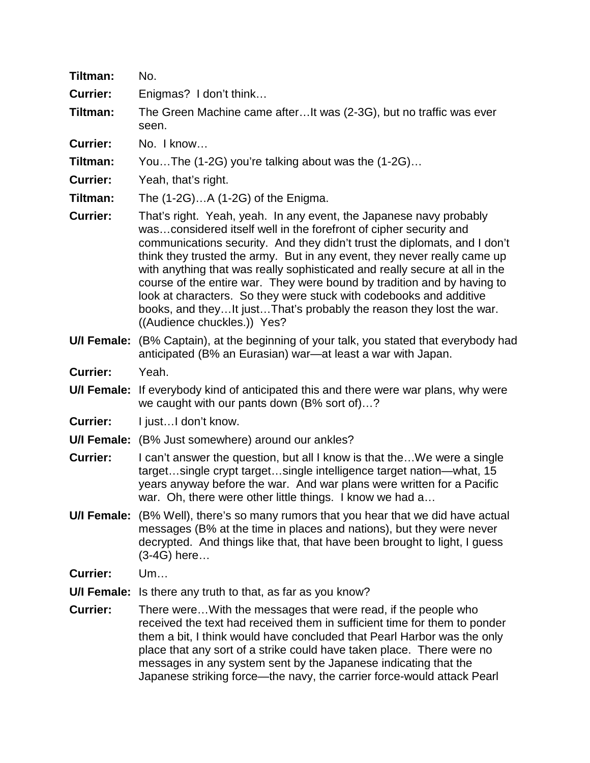| Tiltman:        | No.                                                                                                                                                                                                                                                                                                                                                                                                                                                                                                                                                                                                                                    |
|-----------------|----------------------------------------------------------------------------------------------------------------------------------------------------------------------------------------------------------------------------------------------------------------------------------------------------------------------------------------------------------------------------------------------------------------------------------------------------------------------------------------------------------------------------------------------------------------------------------------------------------------------------------------|
| <b>Currier:</b> | Enigmas? I don't think                                                                                                                                                                                                                                                                                                                                                                                                                                                                                                                                                                                                                 |
| Tiltman:        | The Green Machine came afterIt was (2-3G), but no traffic was ever<br>seen.                                                                                                                                                                                                                                                                                                                                                                                                                                                                                                                                                            |
| <b>Currier:</b> | No. I know                                                                                                                                                                                                                                                                                                                                                                                                                                                                                                                                                                                                                             |
| Tiltman:        | YouThe (1-2G) you're talking about was the (1-2G)                                                                                                                                                                                                                                                                                                                                                                                                                                                                                                                                                                                      |
| <b>Currier:</b> | Yeah, that's right.                                                                                                                                                                                                                                                                                                                                                                                                                                                                                                                                                                                                                    |
| Tiltman:        | The (1-2G)A (1-2G) of the Enigma.                                                                                                                                                                                                                                                                                                                                                                                                                                                                                                                                                                                                      |
| <b>Currier:</b> | That's right. Yeah, yeah. In any event, the Japanese navy probably<br>wasconsidered itself well in the forefront of cipher security and<br>communications security. And they didn't trust the diplomats, and I don't<br>think they trusted the army. But in any event, they never really came up<br>with anything that was really sophisticated and really secure at all in the<br>course of the entire war. They were bound by tradition and by having to<br>look at characters. So they were stuck with codebooks and additive<br>books, and theyIt justThat's probably the reason they lost the war.<br>((Audience chuckles.)) Yes? |
| U/I Female:     | (B% Captain), at the beginning of your talk, you stated that everybody had<br>anticipated (B% an Eurasian) war—at least a war with Japan.                                                                                                                                                                                                                                                                                                                                                                                                                                                                                              |
| <b>Currier:</b> | Yeah.                                                                                                                                                                                                                                                                                                                                                                                                                                                                                                                                                                                                                                  |
| U/I Female:     | If everybody kind of anticipated this and there were war plans, why were<br>we caught with our pants down (B% sort of)?                                                                                                                                                                                                                                                                                                                                                                                                                                                                                                                |
| <b>Currier:</b> | I justI don't know.                                                                                                                                                                                                                                                                                                                                                                                                                                                                                                                                                                                                                    |
|                 | <b>U/I Female:</b> (B% Just somewhere) around our ankles?                                                                                                                                                                                                                                                                                                                                                                                                                                                                                                                                                                              |
| <b>Currier:</b> | I can't answer the question, but all I know is that theWe were a single<br>targetsingle crypt targetsingle intelligence target nation—what, 15<br>years anyway before the war. And war plans were written for a Pacific<br>war. Oh, there were other little things. I know we had a                                                                                                                                                                                                                                                                                                                                                    |
|                 | U/I Female: (B% Well), there's so many rumors that you hear that we did have actual<br>messages (B% at the time in places and nations), but they were never<br>decrypted. And things like that, that have been brought to light, I guess<br>(3-4G) here                                                                                                                                                                                                                                                                                                                                                                                |
| <b>Currier:</b> | Um                                                                                                                                                                                                                                                                                                                                                                                                                                                                                                                                                                                                                                     |
| U/I Female:     | Is there any truth to that, as far as you know?                                                                                                                                                                                                                                                                                                                                                                                                                                                                                                                                                                                        |
| <b>Currier:</b> | There were With the messages that were read, if the people who<br>received the text had received them in sufficient time for them to ponder<br>them a bit, I think would have concluded that Pearl Harbor was the only<br>place that any sort of a strike could have taken place. There were no<br>messages in any system sent by the Japanese indicating that the<br>Japanese striking force—the navy, the carrier force-would attack Pearl                                                                                                                                                                                           |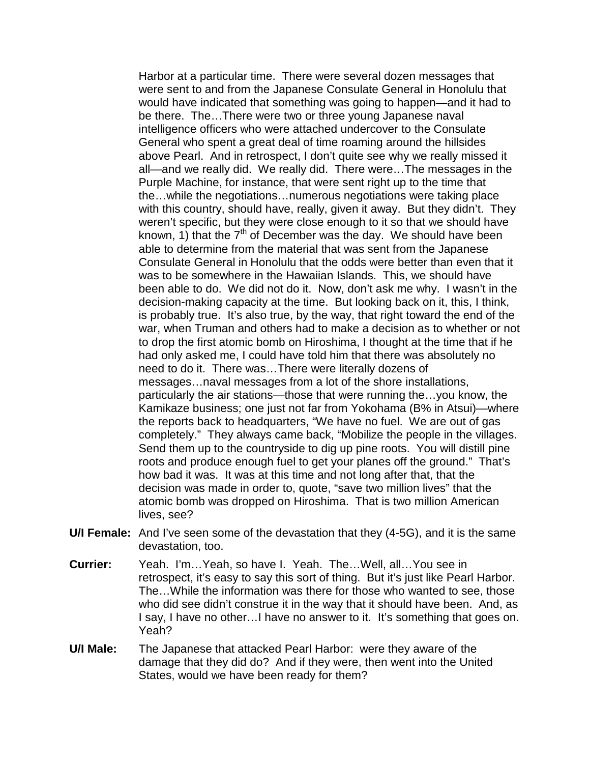Harbor at a particular time. There were several dozen messages that were sent to and from the Japanese Consulate General in Honolulu that would have indicated that something was going to happen—and it had to be there. The…There were two or three young Japanese naval intelligence officers who were attached undercover to the Consulate General who spent a great deal of time roaming around the hillsides above Pearl. And in retrospect, I don't quite see why we really missed it all—and we really did. We really did. There were…The messages in the Purple Machine, for instance, that were sent right up to the time that the…while the negotiations…numerous negotiations were taking place with this country, should have, really, given it away. But they didn't. They weren't specific, but they were close enough to it so that we should have known, 1) that the  $7<sup>th</sup>$  of December was the day. We should have been able to determine from the material that was sent from the Japanese Consulate General in Honolulu that the odds were better than even that it was to be somewhere in the Hawaiian Islands. This, we should have been able to do. We did not do it. Now, don't ask me why. I wasn't in the decision-making capacity at the time. But looking back on it, this, I think, is probably true. It's also true, by the way, that right toward the end of the war, when Truman and others had to make a decision as to whether or not to drop the first atomic bomb on Hiroshima, I thought at the time that if he had only asked me, I could have told him that there was absolutely no need to do it. There was…There were literally dozens of messages…naval messages from a lot of the shore installations, particularly the air stations—those that were running the…you know, the Kamikaze business; one just not far from Yokohama (B% in Atsui)—where the reports back to headquarters, "We have no fuel. We are out of gas completely." They always came back, "Mobilize the people in the villages. Send them up to the countryside to dig up pine roots. You will distill pine roots and produce enough fuel to get your planes off the ground." That's how bad it was. It was at this time and not long after that, that the decision was made in order to, quote, "save two million lives" that the atomic bomb was dropped on Hiroshima. That is two million American lives, see?

- **U/I Female:** And I've seen some of the devastation that they (4-5G), and it is the same devastation, too.
- **Currier:** Yeah. I'm…Yeah, so have I. Yeah. The…Well, all…You see in retrospect, it's easy to say this sort of thing. But it's just like Pearl Harbor. The…While the information was there for those who wanted to see, those who did see didn't construe it in the way that it should have been. And, as I say, I have no other…I have no answer to it. It's something that goes on. Yeah?
- **U/I Male:** The Japanese that attacked Pearl Harbor: were they aware of the damage that they did do? And if they were, then went into the United States, would we have been ready for them?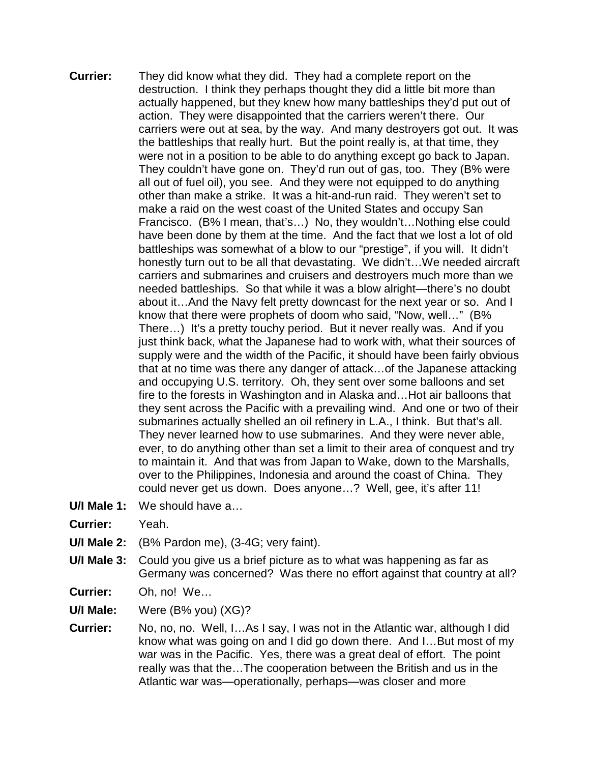- **Currier:** They did know what they did. They had a complete report on the destruction. I think they perhaps thought they did a little bit more than actually happened, but they knew how many battleships they'd put out of action. They were disappointed that the carriers weren't there. Our carriers were out at sea, by the way. And many destroyers got out. It was the battleships that really hurt. But the point really is, at that time, they were not in a position to be able to do anything except go back to Japan. They couldn't have gone on. They'd run out of gas, too. They (B% were all out of fuel oil), you see. And they were not equipped to do anything other than make a strike. It was a hit-and-run raid. They weren't set to make a raid on the west coast of the United States and occupy San Francisco. (B% I mean, that's…) No, they wouldn't…Nothing else could have been done by them at the time. And the fact that we lost a lot of old battleships was somewhat of a blow to our "prestige", if you will. It didn't honestly turn out to be all that devastating. We didn't…We needed aircraft carriers and submarines and cruisers and destroyers much more than we needed battleships. So that while it was a blow alright—there's no doubt about it…And the Navy felt pretty downcast for the next year or so. And I know that there were prophets of doom who said, "Now, well…" (B% There…) It's a pretty touchy period. But it never really was. And if you just think back, what the Japanese had to work with, what their sources of supply were and the width of the Pacific, it should have been fairly obvious that at no time was there any danger of attack…of the Japanese attacking and occupying U.S. territory. Oh, they sent over some balloons and set fire to the forests in Washington and in Alaska and…Hot air balloons that they sent across the Pacific with a prevailing wind. And one or two of their submarines actually shelled an oil refinery in L.A., I think. But that's all. They never learned how to use submarines. And they were never able, ever, to do anything other than set a limit to their area of conquest and try to maintain it. And that was from Japan to Wake, down to the Marshalls, over to the Philippines, Indonesia and around the coast of China. They could never get us down. Does anyone…? Well, gee, it's after 11!
- **U/I Male 1:** We should have a…
- **Currier:** Yeah.
- **U/I Male 2:** (B% Pardon me), (3-4G; very faint).
- **U/I Male 3:** Could you give us a brief picture as to what was happening as far as Germany was concerned? Was there no effort against that country at all?
- **Currier:** Oh, no! We…
- **U/I Male:** Were (B% you) (XG)?
- **Currier:** No, no, no. Well, I…As I say, I was not in the Atlantic war, although I did know what was going on and I did go down there. And I…But most of my war was in the Pacific. Yes, there was a great deal of effort. The point really was that the…The cooperation between the British and us in the Atlantic war was—operationally, perhaps—was closer and more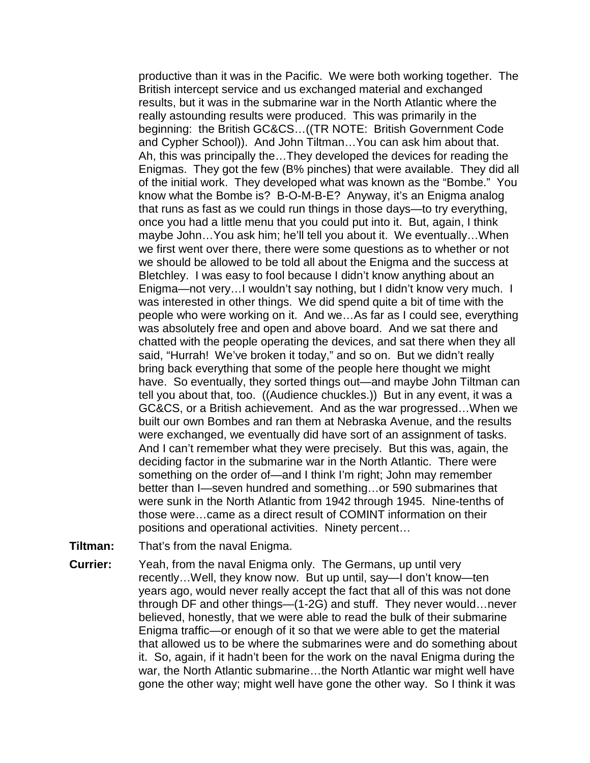productive than it was in the Pacific. We were both working together. The British intercept service and us exchanged material and exchanged results, but it was in the submarine war in the North Atlantic where the really astounding results were produced. This was primarily in the beginning: the British GC&CS…((TR NOTE: British Government Code and Cypher School)). And John Tiltman…You can ask him about that. Ah, this was principally the…They developed the devices for reading the Enigmas. They got the few (B% pinches) that were available. They did all of the initial work. They developed what was known as the "Bombe." You know what the Bombe is? B-O-M-B-E? Anyway, it's an Enigma analog that runs as fast as we could run things in those days—to try everything, once you had a little menu that you could put into it. But, again, I think maybe John... You ask him; he'll tell you about it. We eventually... When we first went over there, there were some questions as to whether or not we should be allowed to be told all about the Enigma and the success at Bletchley. I was easy to fool because I didn't know anything about an Enigma—not very…I wouldn't say nothing, but I didn't know very much. I was interested in other things. We did spend quite a bit of time with the people who were working on it. And we…As far as I could see, everything was absolutely free and open and above board. And we sat there and chatted with the people operating the devices, and sat there when they all said, "Hurrah! We've broken it today," and so on. But we didn't really bring back everything that some of the people here thought we might have. So eventually, they sorted things out—and maybe John Tiltman can tell you about that, too. ((Audience chuckles.)) But in any event, it was a GC&CS, or a British achievement. And as the war progressed…When we built our own Bombes and ran them at Nebraska Avenue, and the results were exchanged, we eventually did have sort of an assignment of tasks. And I can't remember what they were precisely. But this was, again, the deciding factor in the submarine war in the North Atlantic. There were something on the order of—and I think I'm right; John may remember better than I—seven hundred and something…or 590 submarines that were sunk in the North Atlantic from 1942 through 1945. Nine-tenths of those were…came as a direct result of COMINT information on their positions and operational activities. Ninety percent…

- **Tiltman:** That's from the naval Enigma.
- **Currier:** Yeah, from the naval Enigma only. The Germans, up until very recently…Well, they know now. But up until, say—I don't know—ten years ago, would never really accept the fact that all of this was not done through DF and other things—(1-2G) and stuff. They never would…never believed, honestly, that we were able to read the bulk of their submarine Enigma traffic—or enough of it so that we were able to get the material that allowed us to be where the submarines were and do something about it. So, again, if it hadn't been for the work on the naval Enigma during the war, the North Atlantic submarine…the North Atlantic war might well have gone the other way; might well have gone the other way. So I think it was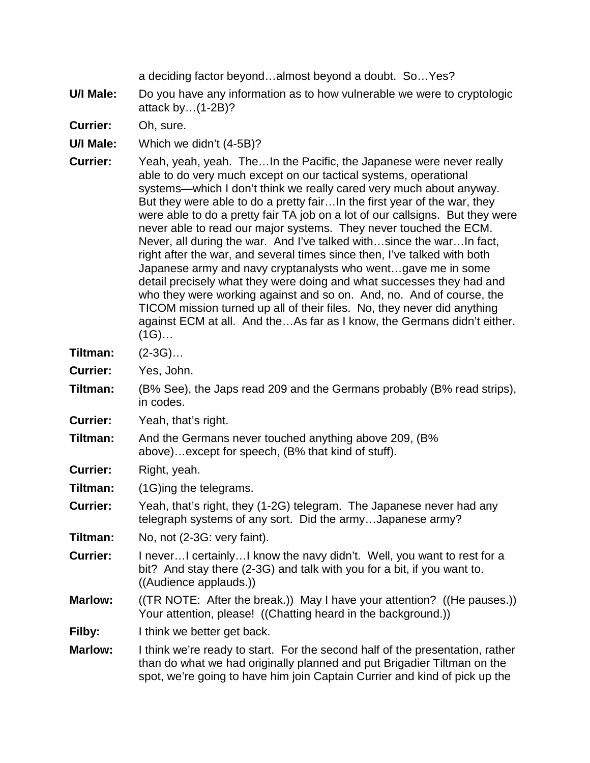a deciding factor beyond…almost beyond a doubt. So…Yes?

- **U/I Male:** Do you have any information as to how vulnerable we were to cryptologic attack by…(1-2B)?
- **Currier:** Oh, sure.
- **U/I Male:** Which we didn't (4-5B)?
- **Currier:** Yeah, yeah, yeah. The…In the Pacific, the Japanese were never really able to do very much except on our tactical systems, operational systems—which I don't think we really cared very much about anyway. But they were able to do a pretty fair…In the first year of the war, they were able to do a pretty fair TA job on a lot of our callsigns. But they were never able to read our major systems. They never touched the ECM. Never, all during the war. And I've talked with…since the war…In fact, right after the war, and several times since then, I've talked with both Japanese army and navy cryptanalysts who went…gave me in some detail precisely what they were doing and what successes they had and who they were working against and so on. And, no. And of course, the TICOM mission turned up all of their files. No, they never did anything against ECM at all. And the…As far as I know, the Germans didn't either.  $(1G)$ …
- **Tiltman:** (2-3G)…
- **Currier:** Yes, John.
- **Tiltman:** (B% See), the Japs read 209 and the Germans probably (B% read strips), in codes.
- **Currier:** Yeah, that's right.
- **Tiltman:** And the Germans never touched anything above 209, (B% above)…except for speech, (B% that kind of stuff).
- **Currier:** Right, yeah.
- **Tiltman:** (1G)ing the telegrams.
- **Currier:** Yeah, that's right, they (1-2G) telegram. The Japanese never had any telegraph systems of any sort. Did the army…Japanese army?
- **Tiltman:** No, not (2-3G: very faint).
- **Currier:** I never...I certainly...I know the navy didn't. Well, you want to rest for a bit? And stay there (2-3G) and talk with you for a bit, if you want to. ((Audience applauds.))
- **Marlow:** ((TR NOTE: After the break.)) May I have your attention? ((He pauses.)) Your attention, please! ((Chatting heard in the background.))
- **Filby:** I think we better get back.
- **Marlow:** I think we're ready to start. For the second half of the presentation, rather than do what we had originally planned and put Brigadier Tiltman on the spot, we're going to have him join Captain Currier and kind of pick up the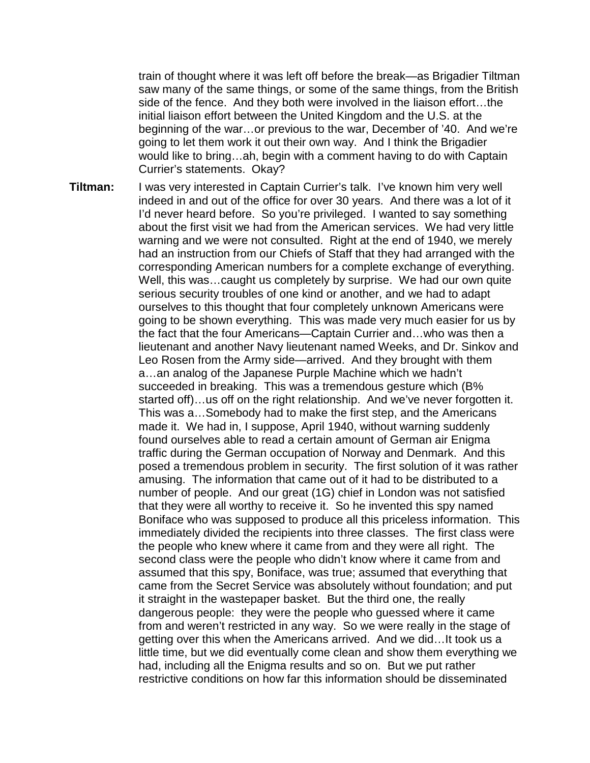train of thought where it was left off before the break—as Brigadier Tiltman saw many of the same things, or some of the same things, from the British side of the fence. And they both were involved in the liaison effort…the initial liaison effort between the United Kingdom and the U.S. at the beginning of the war…or previous to the war, December of '40. And we're going to let them work it out their own way. And I think the Brigadier would like to bring…ah, begin with a comment having to do with Captain Currier's statements. Okay?

**Tiltman:** I was very interested in Captain Currier's talk. I've known him very well indeed in and out of the office for over 30 years. And there was a lot of it I'd never heard before. So you're privileged. I wanted to say something about the first visit we had from the American services. We had very little warning and we were not consulted. Right at the end of 1940, we merely had an instruction from our Chiefs of Staff that they had arranged with the corresponding American numbers for a complete exchange of everything. Well, this was…caught us completely by surprise. We had our own quite serious security troubles of one kind or another, and we had to adapt ourselves to this thought that four completely unknown Americans were going to be shown everything. This was made very much easier for us by the fact that the four Americans—Captain Currier and…who was then a lieutenant and another Navy lieutenant named Weeks, and Dr. Sinkov and Leo Rosen from the Army side—arrived. And they brought with them a…an analog of the Japanese Purple Machine which we hadn't succeeded in breaking. This was a tremendous gesture which (B% started off)…us off on the right relationship. And we've never forgotten it. This was a…Somebody had to make the first step, and the Americans made it. We had in, I suppose, April 1940, without warning suddenly found ourselves able to read a certain amount of German air Enigma traffic during the German occupation of Norway and Denmark. And this posed a tremendous problem in security. The first solution of it was rather amusing. The information that came out of it had to be distributed to a number of people. And our great (1G) chief in London was not satisfied that they were all worthy to receive it. So he invented this spy named Boniface who was supposed to produce all this priceless information. This immediately divided the recipients into three classes. The first class were the people who knew where it came from and they were all right. The second class were the people who didn't know where it came from and assumed that this spy, Boniface, was true; assumed that everything that came from the Secret Service was absolutely without foundation; and put it straight in the wastepaper basket. But the third one, the really dangerous people: they were the people who guessed where it came from and weren't restricted in any way. So we were really in the stage of getting over this when the Americans arrived. And we did…It took us a little time, but we did eventually come clean and show them everything we had, including all the Enigma results and so on. But we put rather restrictive conditions on how far this information should be disseminated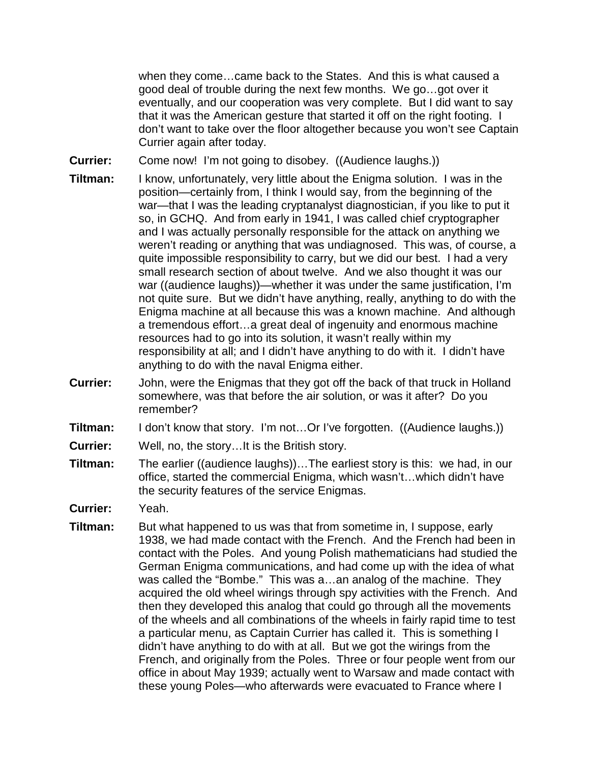when they come…came back to the States. And this is what caused a good deal of trouble during the next few months. We go…got over it eventually, and our cooperation was very complete. But I did want to say that it was the American gesture that started it off on the right footing. I don't want to take over the floor altogether because you won't see Captain Currier again after today.

**Currier:** Come now! I'm not going to disobey. ((Audience laughs.))

- **Tiltman:** I know, unfortunately, very little about the Enigma solution. I was in the position—certainly from, I think I would say, from the beginning of the war—that I was the leading cryptanalyst diagnostician, if you like to put it so, in GCHQ. And from early in 1941, I was called chief cryptographer and I was actually personally responsible for the attack on anything we weren't reading or anything that was undiagnosed. This was, of course, a quite impossible responsibility to carry, but we did our best. I had a very small research section of about twelve. And we also thought it was our war ((audience laughs))—whether it was under the same justification, I'm not quite sure. But we didn't have anything, really, anything to do with the Enigma machine at all because this was a known machine. And although a tremendous effort…a great deal of ingenuity and enormous machine resources had to go into its solution, it wasn't really within my responsibility at all; and I didn't have anything to do with it. I didn't have anything to do with the naval Enigma either.
- **Currier:** John, were the Enigmas that they got off the back of that truck in Holland somewhere, was that before the air solution, or was it after? Do you remember?
- **Tiltman:** I don't know that story. I'm not…Or I've forgotten. ((Audience laughs.))
- **Currier:** Well, no, the story…It is the British story.
- **Tiltman:** The earlier ((audience laughs))...The earliest story is this: we had, in our office, started the commercial Enigma, which wasn't…which didn't have the security features of the service Enigmas.
- **Currier:** Yeah.
- **Tiltman:** But what happened to us was that from sometime in, I suppose, early 1938, we had made contact with the French. And the French had been in contact with the Poles. And young Polish mathematicians had studied the German Enigma communications, and had come up with the idea of what was called the "Bombe." This was a…an analog of the machine. They acquired the old wheel wirings through spy activities with the French. And then they developed this analog that could go through all the movements of the wheels and all combinations of the wheels in fairly rapid time to test a particular menu, as Captain Currier has called it. This is something I didn't have anything to do with at all. But we got the wirings from the French, and originally from the Poles. Three or four people went from our office in about May 1939; actually went to Warsaw and made contact with these young Poles—who afterwards were evacuated to France where I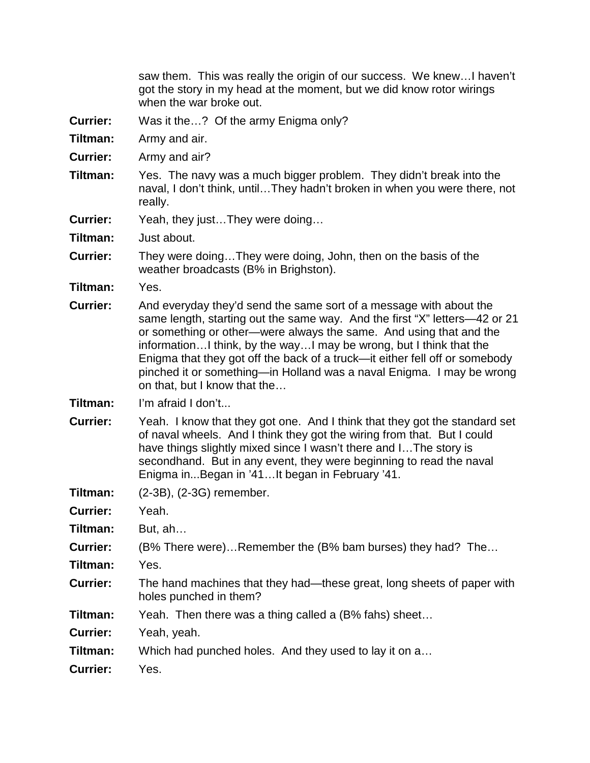saw them. This was really the origin of our success. We knew…I haven't got the story in my head at the moment, but we did know rotor wirings when the war broke out.

- **Currier:** Was it the…? Of the army Enigma only?
- **Tiltman:** Army and air.
- **Currier:** Army and air?
- **Tiltman:** Yes. The navy was a much bigger problem. They didn't break into the naval, I don't think, until…They hadn't broken in when you were there, not really.
- **Currier:** Yeah, they just…They were doing…
- **Tiltman:** Just about.
- **Currier:** They were doing…They were doing, John, then on the basis of the weather broadcasts (B% in Brighston).
- **Tiltman:** Yes.
- **Currier:** And everyday they'd send the same sort of a message with about the same length, starting out the same way. And the first "X" letters—42 or 21 or something or other—were always the same. And using that and the information…I think, by the way…I may be wrong, but I think that the Enigma that they got off the back of a truck—it either fell off or somebody pinched it or something—in Holland was a naval Enigma. I may be wrong on that, but I know that the…
- **Tiltman:** I'm afraid I don't...
- **Currier:** Yeah. I know that they got one. And I think that they got the standard set of naval wheels. And I think they got the wiring from that. But I could have things slightly mixed since I wasn't there and I…The story is secondhand. But in any event, they were beginning to read the naval Enigma in...Began in '41…It began in February '41.
- **Tiltman:** (2-3B), (2-3G) remember.
- **Currier:** Yeah.
- **Tiltman:** But, ah…
- **Currier:** (B% There were)…Remember the (B% bam burses) they had? The…
- **Tiltman:** Yes.
- **Currier:** The hand machines that they had—these great, long sheets of paper with holes punched in them?
- **Tiltman:** Yeah. Then there was a thing called a (B% fahs) sheet…
- **Currier:** Yeah, yeah.
- **Tiltman:** Which had punched holes. And they used to lay it on a…
- **Currier:** Yes.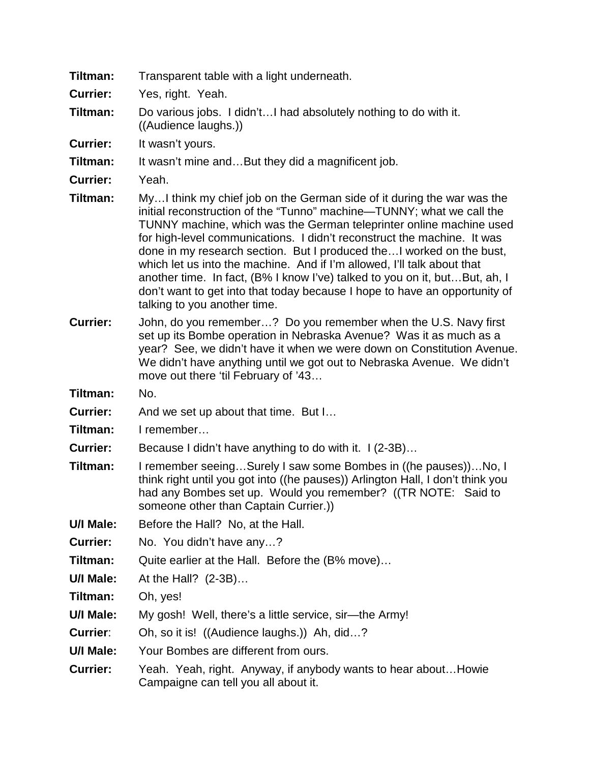- **Tiltman:** Transparent table with a light underneath.
- **Currier:** Yes, right. Yeah.
- **Tiltman:** Do various jobs. I didn't…I had absolutely nothing to do with it. ((Audience laughs.))
- **Currier:** It wasn't yours.
- **Tiltman:** It wasn't mine and...But they did a magnificent job.
- **Currier:** Yeah.
- **Tiltman:** My…I think my chief job on the German side of it during the war was the initial reconstruction of the "Tunno" machine—TUNNY; what we call the TUNNY machine, which was the German teleprinter online machine used for high-level communications. I didn't reconstruct the machine. It was done in my research section. But I produced the…I worked on the bust, which let us into the machine. And if I'm allowed, I'll talk about that another time. In fact, (B% I know I've) talked to you on it, but…But, ah, I don't want to get into that today because I hope to have an opportunity of talking to you another time.
- **Currier:** John, do you remember…? Do you remember when the U.S. Navy first set up its Bombe operation in Nebraska Avenue? Was it as much as a year? See, we didn't have it when we were down on Constitution Avenue. We didn't have anything until we got out to Nebraska Avenue. We didn't move out there 'til February of '43…
- **Tiltman:** No.
- **Currier:** And we set up about that time. But I…
- **Tiltman:** I remember…
- **Currier:** Because I didn't have anything to do with it. I (2-3B)…
- **Tiltman:** I remember seeing…Surely I saw some Bombes in ((he pauses))…No, I think right until you got into ((he pauses)) Arlington Hall, I don't think you had any Bombes set up. Would you remember? ((TR NOTE: Said to someone other than Captain Currier.))
- **U/I Male:** Before the Hall? No, at the Hall.
- **Currier:** No. You didn't have any...?
- **Tiltman:** Quite earlier at the Hall. Before the (B% move)…
- **U/I Male:** At the Hall? (2-3B)…
- **Tiltman:** Oh, yes!
- **U/I Male:** My gosh! Well, there's a little service, sir—the Army!
- **Currier**: Oh, so it is! ((Audience laughs.)) Ah, did…?
- **U/I Male:** Your Bombes are different from ours.
- **Currier:** Yeah. Yeah, right. Anyway, if anybody wants to hear about…Howie Campaigne can tell you all about it.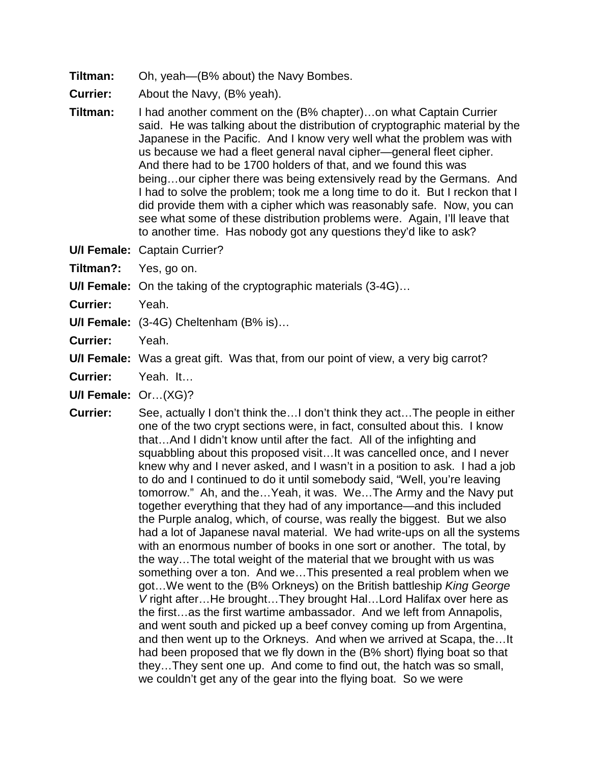- **Tiltman:** Oh, yeah—(B% about) the Navy Bombes.
- **Currier:** About the Navy, (B% yeah).
- **Tiltman:** I had another comment on the (B% chapter)…on what Captain Currier said. He was talking about the distribution of cryptographic material by the Japanese in the Pacific. And I know very well what the problem was with us because we had a fleet general naval cipher—general fleet cipher. And there had to be 1700 holders of that, and we found this was being…our cipher there was being extensively read by the Germans. And I had to solve the problem; took me a long time to do it. But I reckon that I did provide them with a cipher which was reasonably safe. Now, you can see what some of these distribution problems were. Again, I'll leave that to another time. Has nobody got any questions they'd like to ask?
- **U/I Female:** Captain Currier?
- **Tiltman?:** Yes, go on.
- **U/I Female:** On the taking of the cryptographic materials (3-4G)…
- **Currier:** Yeah.
- **U/I Female:** (3-4G) Cheltenham (B% is)…
- **Currier:** Yeah.
- **U/I Female:** Was a great gift. Was that, from our point of view, a very big carrot?
- **Currier:** Yeah. It…
- **U/I Female:** Or…(XG)?
- **Currier:** See, actually I don't think the…I don't think they act…The people in either one of the two crypt sections were, in fact, consulted about this. I know that…And I didn't know until after the fact. All of the infighting and squabbling about this proposed visit...It was cancelled once, and I never knew why and I never asked, and I wasn't in a position to ask. I had a job to do and I continued to do it until somebody said, "Well, you're leaving tomorrow." Ah, and the…Yeah, it was. We…The Army and the Navy put together everything that they had of any importance—and this included the Purple analog, which, of course, was really the biggest. But we also had a lot of Japanese naval material. We had write-ups on all the systems with an enormous number of books in one sort or another. The total, by the way…The total weight of the material that we brought with us was something over a ton. And we…This presented a real problem when we got…We went to the (B% Orkneys) on the British battleship *King George V* right after…He brought…They brought Hal…Lord Halifax over here as the first…as the first wartime ambassador. And we left from Annapolis, and went south and picked up a beef convey coming up from Argentina, and then went up to the Orkneys. And when we arrived at Scapa, the…It had been proposed that we fly down in the (B% short) flying boat so that they…They sent one up. And come to find out, the hatch was so small, we couldn't get any of the gear into the flying boat. So we were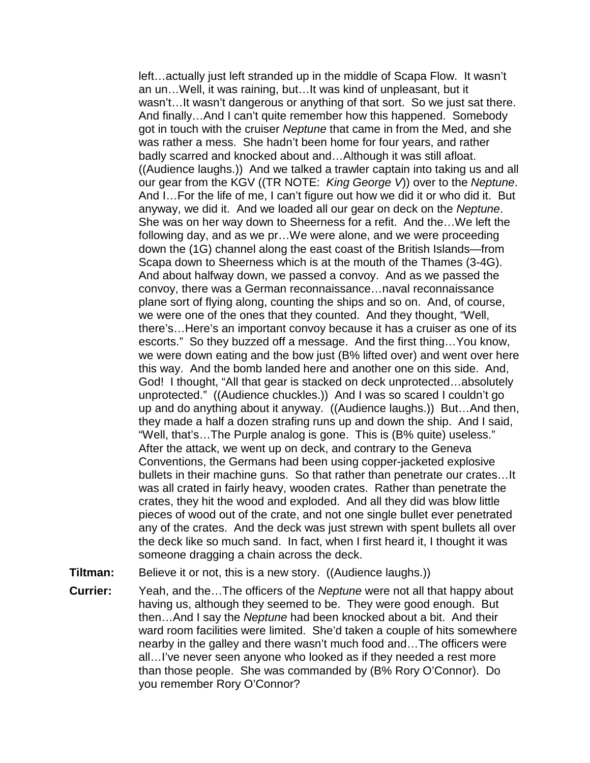left…actually just left stranded up in the middle of Scapa Flow. It wasn't an un…Well, it was raining, but…It was kind of unpleasant, but it wasn't...It wasn't dangerous or anything of that sort. So we just sat there. And finally…And I can't quite remember how this happened. Somebody got in touch with the cruiser *Neptune* that came in from the Med, and she was rather a mess. She hadn't been home for four years, and rather badly scarred and knocked about and…Although it was still afloat. ((Audience laughs.)) And we talked a trawler captain into taking us and all our gear from the KGV ((TR NOTE: *King George V*)) over to the *Neptune*. And I…For the life of me, I can't figure out how we did it or who did it. But anyway, we did it. And we loaded all our gear on deck on the *Neptune*. She was on her way down to Sheerness for a refit. And the…We left the following day, and as we pr…We were alone, and we were proceeding down the (1G) channel along the east coast of the British Islands—from Scapa down to Sheerness which is at the mouth of the Thames (3-4G). And about halfway down, we passed a convoy. And as we passed the convoy, there was a German reconnaissance…naval reconnaissance plane sort of flying along, counting the ships and so on. And, of course, we were one of the ones that they counted. And they thought, "Well, there's…Here's an important convoy because it has a cruiser as one of its escorts." So they buzzed off a message. And the first thing…You know, we were down eating and the bow just (B% lifted over) and went over here this way. And the bomb landed here and another one on this side. And, God! I thought, "All that gear is stacked on deck unprotected…absolutely unprotected." ((Audience chuckles.)) And I was so scared I couldn't go up and do anything about it anyway. ((Audience laughs.)) But…And then, they made a half a dozen strafing runs up and down the ship. And I said, "Well, that's…The Purple analog is gone. This is (B% quite) useless." After the attack, we went up on deck, and contrary to the Geneva Conventions, the Germans had been using copper-jacketed explosive bullets in their machine guns. So that rather than penetrate our crates…It was all crated in fairly heavy, wooden crates. Rather than penetrate the crates, they hit the wood and exploded. And all they did was blow little pieces of wood out of the crate, and not one single bullet ever penetrated any of the crates. And the deck was just strewn with spent bullets all over the deck like so much sand. In fact, when I first heard it, I thought it was someone dragging a chain across the deck.

**Tiltman:** Believe it or not, this is a new story. ((Audience laughs.))

**Currier:** Yeah, and the…The officers of the *Neptune* were not all that happy about having us, although they seemed to be. They were good enough. But then…And I say the *Neptune* had been knocked about a bit. And their ward room facilities were limited. She'd taken a couple of hits somewhere nearby in the galley and there wasn't much food and…The officers were all…I've never seen anyone who looked as if they needed a rest more than those people. She was commanded by (B% Rory O'Connor). Do you remember Rory O'Connor?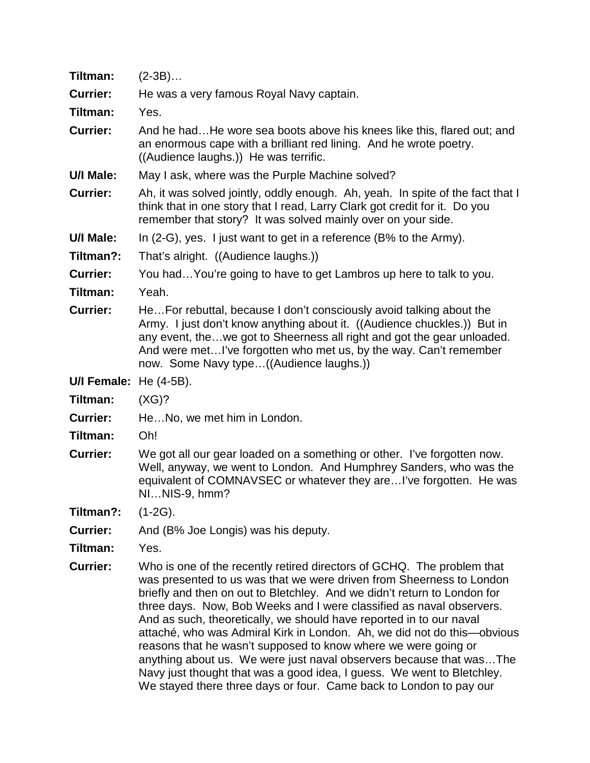| Tiltman:        | $(2-3B)$                                                                                                                                                                                                                                                                                                                                                                                                                                                                                                                                                                                                                                                                 |
|-----------------|--------------------------------------------------------------------------------------------------------------------------------------------------------------------------------------------------------------------------------------------------------------------------------------------------------------------------------------------------------------------------------------------------------------------------------------------------------------------------------------------------------------------------------------------------------------------------------------------------------------------------------------------------------------------------|
| <b>Currier:</b> | He was a very famous Royal Navy captain.                                                                                                                                                                                                                                                                                                                                                                                                                                                                                                                                                                                                                                 |
| Tiltman:        | Yes.                                                                                                                                                                                                                                                                                                                                                                                                                                                                                                                                                                                                                                                                     |
| <b>Currier:</b> | And he hadHe wore sea boots above his knees like this, flared out; and<br>an enormous cape with a brilliant red lining. And he wrote poetry.<br>((Audience laughs.)) He was terrific.                                                                                                                                                                                                                                                                                                                                                                                                                                                                                    |
| U/I Male:       | May I ask, where was the Purple Machine solved?                                                                                                                                                                                                                                                                                                                                                                                                                                                                                                                                                                                                                          |
| <b>Currier:</b> | Ah, it was solved jointly, oddly enough. Ah, yeah. In spite of the fact that I<br>think that in one story that I read, Larry Clark got credit for it. Do you<br>remember that story? It was solved mainly over on your side.                                                                                                                                                                                                                                                                                                                                                                                                                                             |
| U/I Male:       | In $(2-G)$ , yes. I just want to get in a reference $(B\%$ to the Army).                                                                                                                                                                                                                                                                                                                                                                                                                                                                                                                                                                                                 |
| Tiltman?:       | That's alright. ((Audience laughs.))                                                                                                                                                                                                                                                                                                                                                                                                                                                                                                                                                                                                                                     |
| <b>Currier:</b> | You hadYou're going to have to get Lambros up here to talk to you.                                                                                                                                                                                                                                                                                                                                                                                                                                                                                                                                                                                                       |
| Tiltman:        | Yeah.                                                                                                                                                                                                                                                                                                                                                                                                                                                                                                                                                                                                                                                                    |
| <b>Currier:</b> | HeFor rebuttal, because I don't consciously avoid talking about the<br>Army. I just don't know anything about it. ((Audience chuckles.)) But in<br>any event, thewe got to Sheerness all right and got the gear unloaded.<br>And were metI've forgotten who met us, by the way. Can't remember<br>now. Some Navy type((Audience laughs.))                                                                                                                                                                                                                                                                                                                                |
| U/I Female:     | He (4-5B).                                                                                                                                                                                                                                                                                                                                                                                                                                                                                                                                                                                                                                                               |
| Tiltman:        | (XG)?                                                                                                                                                                                                                                                                                                                                                                                                                                                                                                                                                                                                                                                                    |
| <b>Currier:</b> | HeNo, we met him in London.                                                                                                                                                                                                                                                                                                                                                                                                                                                                                                                                                                                                                                              |
| Tiltman:        | Oh!                                                                                                                                                                                                                                                                                                                                                                                                                                                                                                                                                                                                                                                                      |
| <b>Currier:</b> | We got all our gear loaded on a something or other. I've forgotten now.<br>Well, anyway, we went to London. And Humphrey Sanders, who was the<br>equivalent of COMNAVSEC or whatever they areI've forgotten. He was<br>NINIS-9, hmm?                                                                                                                                                                                                                                                                                                                                                                                                                                     |
| Tiltman?:       | $(1-2G)$ .                                                                                                                                                                                                                                                                                                                                                                                                                                                                                                                                                                                                                                                               |
| <b>Currier:</b> | And (B% Joe Longis) was his deputy.                                                                                                                                                                                                                                                                                                                                                                                                                                                                                                                                                                                                                                      |
| Tiltman:        | Yes.                                                                                                                                                                                                                                                                                                                                                                                                                                                                                                                                                                                                                                                                     |
| <b>Currier:</b> | Who is one of the recently retired directors of GCHQ. The problem that<br>was presented to us was that we were driven from Sheerness to London<br>briefly and then on out to Bletchley. And we didn't return to London for<br>three days. Now, Bob Weeks and I were classified as naval observers.<br>And as such, theoretically, we should have reported in to our naval<br>attaché, who was Admiral Kirk in London. Ah, we did not do this—obvious<br>reasons that he wasn't supposed to know where we were going or<br>anything about us. We were just naval observers because that was The<br>Navy just thought that was a good idea, I guess. We went to Bletchley. |

We stayed there three days or four. Came back to London to pay our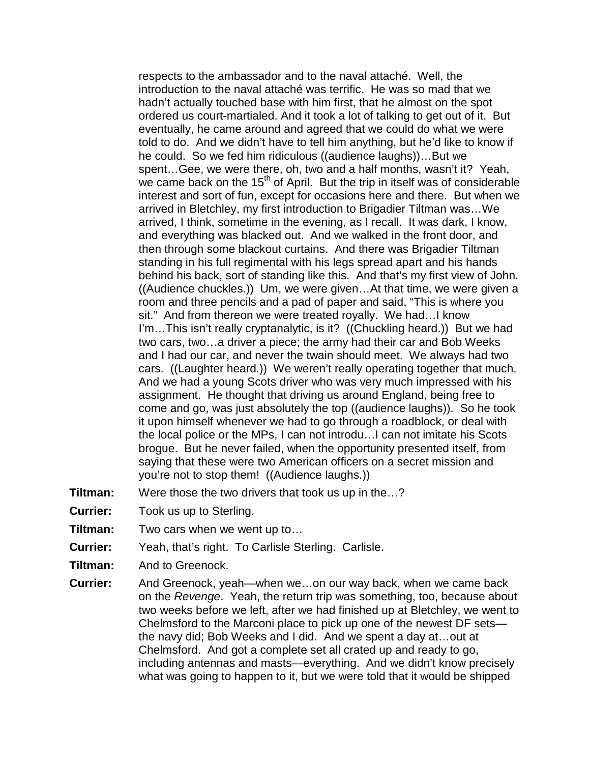respects to the ambassador and to the naval attaché. Well, the introduction to the naval attaché was terrific. He was so mad that we hadn't actually touched base with him first, that he almost on the spot ordered us court-martialed. And it took a lot of talking to get out of it. But eventually, he came around and agreed that we could do what we were told to do. And we didn't have to tell him anything, but he'd like to know if he could. So we fed him ridiculous ((audience laughs))…But we spent…Gee, we were there, oh, two and a half months, wasn't it? Yeah, we came back on the  $15<sup>th</sup>$  of April. But the trip in itself was of considerable interest and sort of fun, except for occasions here and there. But when we arrived in Bletchley, my first introduction to Brigadier Tiltman was…We arrived, I think, sometime in the evening, as I recall. It was dark, I know, and everything was blacked out. And we walked in the front door, and then through some blackout curtains. And there was Brigadier Tiltman standing in his full regimental with his legs spread apart and his hands behind his back, sort of standing like this. And that's my first view of John. ((Audience chuckles.)) Um, we were given…At that time, we were given a room and three pencils and a pad of paper and said, "This is where you sit." And from thereon we were treated royally. We had…I know I'm…This isn't really cryptanalytic, is it? ((Chuckling heard.)) But we had two cars, two…a driver a piece; the army had their car and Bob Weeks and I had our car, and never the twain should meet. We always had two cars. ((Laughter heard.)) We weren't really operating together that much. And we had a young Scots driver who was very much impressed with his assignment. He thought that driving us around England, being free to come and go, was just absolutely the top ((audience laughs)). So he took it upon himself whenever we had to go through a roadblock, or deal with the local police or the MPs, I can not introdu…I can not imitate his Scots brogue. But he never failed, when the opportunity presented itself, from saying that these were two American officers on a secret mission and you're not to stop them! ((Audience laughs.))

- **Tiltman:** Were those the two drivers that took us up in the...?
- **Currier:** Took us up to Sterling.
- **Tiltman:** Two cars when we went up to…
- **Currier:** Yeah, that's right. To Carlisle Sterling. Carlisle.
- **Tiltman:** And to Greenock.
- **Currier:** And Greenock, yeah—when we…on our way back, when we came back on the *Revenge*. Yeah, the return trip was something, too, because about two weeks before we left, after we had finished up at Bletchley, we went to Chelmsford to the Marconi place to pick up one of the newest DF sets the navy did; Bob Weeks and I did. And we spent a day at…out at Chelmsford. And got a complete set all crated up and ready to go, including antennas and masts—everything. And we didn't know precisely what was going to happen to it, but we were told that it would be shipped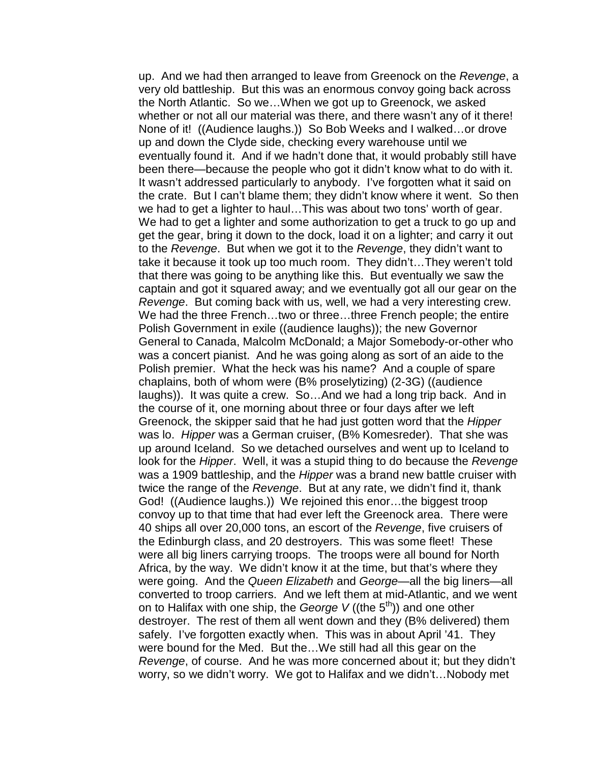up. And we had then arranged to leave from Greenock on the *Revenge*, a very old battleship. But this was an enormous convoy going back across the North Atlantic. So we…When we got up to Greenock, we asked whether or not all our material was there, and there wasn't any of it there! None of it! ((Audience laughs.)) So Bob Weeks and I walked…or drove up and down the Clyde side, checking every warehouse until we eventually found it. And if we hadn't done that, it would probably still have been there—because the people who got it didn't know what to do with it. It wasn't addressed particularly to anybody. I've forgotten what it said on the crate. But I can't blame them; they didn't know where it went. So then we had to get a lighter to haul…This was about two tons' worth of gear. We had to get a lighter and some authorization to get a truck to go up and get the gear, bring it down to the dock, load it on a lighter; and carry it out to the *Revenge*. But when we got it to the *Revenge*, they didn't want to take it because it took up too much room. They didn't…They weren't told that there was going to be anything like this. But eventually we saw the captain and got it squared away; and we eventually got all our gear on the *Revenge*. But coming back with us, well, we had a very interesting crew. We had the three French...two or three...three French people; the entire Polish Government in exile ((audience laughs)); the new Governor General to Canada, Malcolm McDonald; a Major Somebody-or-other who was a concert pianist. And he was going along as sort of an aide to the Polish premier. What the heck was his name? And a couple of spare chaplains, both of whom were (B% proselytizing) (2-3G) ((audience laughs)). It was quite a crew. So…And we had a long trip back. And in the course of it, one morning about three or four days after we left Greenock, the skipper said that he had just gotten word that the *Hipper* was lo. *Hipper* was a German cruiser, (B% Komesreder). That she was up around Iceland. So we detached ourselves and went up to Iceland to look for the *Hipper*. Well, it was a stupid thing to do because the *Revenge* was a 1909 battleship, and the *Hipper* was a brand new battle cruiser with twice the range of the *Revenge*. But at any rate, we didn't find it, thank God! ((Audience laughs.)) We rejoined this enor…the biggest troop convoy up to that time that had ever left the Greenock area. There were 40 ships all over 20,000 tons, an escort of the *Revenge*, five cruisers of the Edinburgh class, and 20 destroyers. This was some fleet! These were all big liners carrying troops. The troops were all bound for North Africa, by the way. We didn't know it at the time, but that's where they were going. And the *Queen Elizabeth* and *George*—all the big liners—all converted to troop carriers. And we left them at mid-Atlantic, and we went on to Halifax with one ship, the *George V* ((the 5<sup>th</sup>)) and one other destroyer. The rest of them all went down and they (B% delivered) them safely. I've forgotten exactly when. This was in about April '41. They were bound for the Med. But the…We still had all this gear on the *Revenge*, of course. And he was more concerned about it; but they didn't worry, so we didn't worry. We got to Halifax and we didn't…Nobody met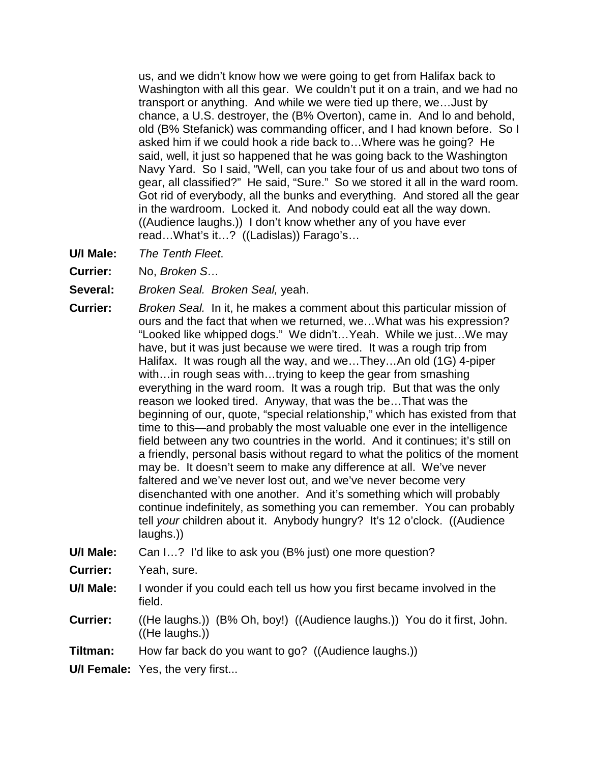us, and we didn't know how we were going to get from Halifax back to Washington with all this gear. We couldn't put it on a train, and we had no transport or anything. And while we were tied up there, we…Just by chance, a U.S. destroyer, the (B% Overton), came in. And lo and behold, old (B% Stefanick) was commanding officer, and I had known before. So I asked him if we could hook a ride back to…Where was he going? He said, well, it just so happened that he was going back to the Washington Navy Yard. So I said, "Well, can you take four of us and about two tons of gear, all classified?" He said, "Sure." So we stored it all in the ward room. Got rid of everybody, all the bunks and everything. And stored all the gear in the wardroom. Locked it. And nobody could eat all the way down. ((Audience laughs.)) I don't know whether any of you have ever read…What's it…? ((Ladislas)) Farago's…

- **U/I Male:** *The Tenth Fleet*.
- **Currier:** No, *Broken S…*
- **Several:** *Broken Seal. Broken Seal,* yeah.
- **Currier:** *Broken Seal.* In it, he makes a comment about this particular mission of ours and the fact that when we returned, we…What was his expression? "Looked like whipped dogs." We didn't…Yeah. While we just…We may have, but it was just because we were tired. It was a rough trip from Halifax. It was rough all the way, and we…They…An old (1G) 4-piper with…in rough seas with…trying to keep the gear from smashing everything in the ward room. It was a rough trip. But that was the only reason we looked tired. Anyway, that was the be…That was the beginning of our, quote, "special relationship," which has existed from that time to this—and probably the most valuable one ever in the intelligence field between any two countries in the world. And it continues; it's still on a friendly, personal basis without regard to what the politics of the moment may be. It doesn't seem to make any difference at all. We've never faltered and we've never lost out, and we've never become very disenchanted with one another. And it's something which will probably continue indefinitely, as something you can remember. You can probably tell *your* children about it. Anybody hungry? It's 12 o'clock. ((Audience laughs.))
- **U/I Male:** Can I…? I'd like to ask you (B% just) one more question?
- **Currier:** Yeah, sure.
- **U/I Male:** I wonder if you could each tell us how you first became involved in the field.
- **Currier:** ((He laughs.)) (B% Oh, boy!) ((Audience laughs.)) You do it first, John. ((He laughs.))
- **Tiltman:** How far back do you want to go? ((Audience laughs.))
- **U/I Female:** Yes, the very first...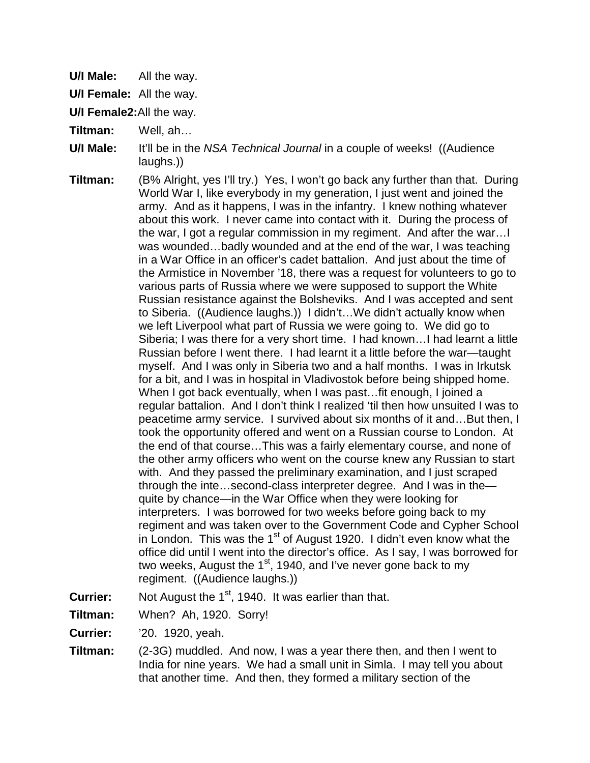**U/I Male:** All the way.

**U/I Female:** All the way.

**U/I Female2:**All the way.

- **Tiltman:** Well, ah…
- **U/I Male:** It'll be in the *NSA Technical Journal* in a couple of weeks! ((Audience laughs.))
- **Tiltman:** (B% Alright, yes I'll try.) Yes, I won't go back any further than that. During World War I, like everybody in my generation, I just went and joined the army. And as it happens, I was in the infantry. I knew nothing whatever about this work. I never came into contact with it. During the process of the war, I got a regular commission in my regiment. And after the war…I was wounded…badly wounded and at the end of the war, I was teaching in a War Office in an officer's cadet battalion. And just about the time of the Armistice in November '18, there was a request for volunteers to go to various parts of Russia where we were supposed to support the White Russian resistance against the Bolsheviks. And I was accepted and sent to Siberia. ((Audience laughs.)) I didn't…We didn't actually know when we left Liverpool what part of Russia we were going to. We did go to Siberia; I was there for a very short time. I had known…I had learnt a little Russian before I went there. I had learnt it a little before the war—taught myself. And I was only in Siberia two and a half months. I was in Irkutsk for a bit, and I was in hospital in Vladivostok before being shipped home. When I got back eventually, when I was past...fit enough, I joined a regular battalion. And I don't think I realized 'til then how unsuited I was to peacetime army service. I survived about six months of it and…But then, I took the opportunity offered and went on a Russian course to London. At the end of that course…This was a fairly elementary course, and none of the other army officers who went on the course knew any Russian to start with. And they passed the preliminary examination, and I just scraped through the inte…second-class interpreter degree. And I was in the quite by chance—in the War Office when they were looking for interpreters. I was borrowed for two weeks before going back to my regiment and was taken over to the Government Code and Cypher School in London. This was the  $1<sup>st</sup>$  of August 1920. I didn't even know what the office did until I went into the director's office. As I say, I was borrowed for two weeks, August the  $1<sup>st</sup>$ , 1940, and I've never gone back to my regiment. ((Audience laughs.))
- **Currier:** Not August the 1<sup>st</sup>, 1940. It was earlier than that.
- **Tiltman:** When? Ah, 1920. Sorry!
- **Currier:** '20. 1920, yeah.
- **Tiltman:** (2-3G) muddled. And now, I was a year there then, and then I went to India for nine years. We had a small unit in Simla. I may tell you about that another time. And then, they formed a military section of the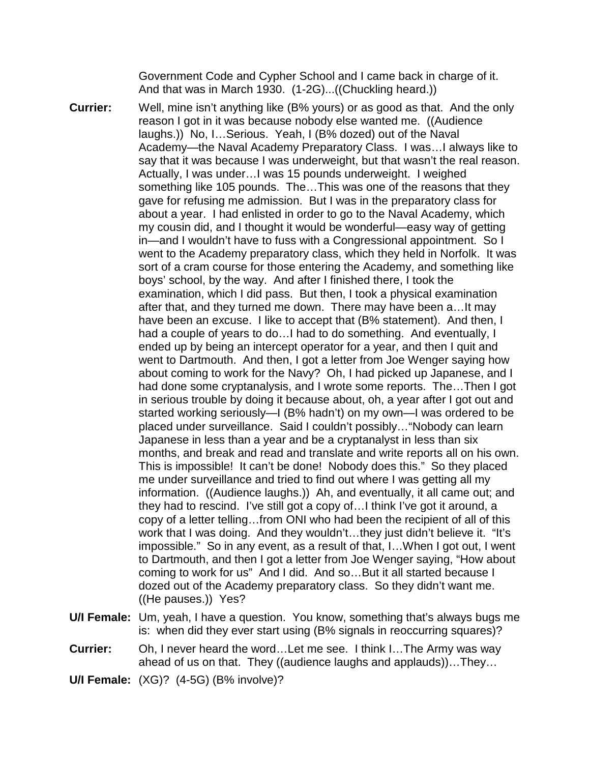Government Code and Cypher School and I came back in charge of it. And that was in March 1930. (1-2G)...((Chuckling heard.))

- **Currier:** Well, mine isn't anything like (B% yours) or as good as that. And the only reason I got in it was because nobody else wanted me. ((Audience laughs.)) No, I…Serious. Yeah, I (B% dozed) out of the Naval Academy—the Naval Academy Preparatory Class. I was…I always like to say that it was because I was underweight, but that wasn't the real reason. Actually, I was under…I was 15 pounds underweight. I weighed something like 105 pounds. The…This was one of the reasons that they gave for refusing me admission. But I was in the preparatory class for about a year. I had enlisted in order to go to the Naval Academy, which my cousin did, and I thought it would be wonderful—easy way of getting in—and I wouldn't have to fuss with a Congressional appointment. So I went to the Academy preparatory class, which they held in Norfolk. It was sort of a cram course for those entering the Academy, and something like boys' school, by the way. And after I finished there, I took the examination, which I did pass. But then, I took a physical examination after that, and they turned me down. There may have been a…It may have been an excuse. I like to accept that (B% statement). And then, I had a couple of years to do…I had to do something. And eventually, I ended up by being an intercept operator for a year, and then I quit and went to Dartmouth. And then, I got a letter from Joe Wenger saying how about coming to work for the Navy? Oh, I had picked up Japanese, and I had done some cryptanalysis, and I wrote some reports. The…Then I got in serious trouble by doing it because about, oh, a year after I got out and started working seriously—I (B% hadn't) on my own—I was ordered to be placed under surveillance. Said I couldn't possibly…"Nobody can learn Japanese in less than a year and be a cryptanalyst in less than six months, and break and read and translate and write reports all on his own. This is impossible! It can't be done! Nobody does this." So they placed me under surveillance and tried to find out where I was getting all my information. ((Audience laughs.)) Ah, and eventually, it all came out; and they had to rescind. I've still got a copy of…I think I've got it around, a copy of a letter telling…from ONI who had been the recipient of all of this work that I was doing. And they wouldn't...they just didn't believe it. "It's impossible." So in any event, as a result of that, I…When I got out, I went to Dartmouth, and then I got a letter from Joe Wenger saying, "How about coming to work for us" And I did. And so…But it all started because I dozed out of the Academy preparatory class. So they didn't want me. ((He pauses.)) Yes?
- **U/I Female:** Um, yeah, I have a question. You know, something that's always bugs me is: when did they ever start using (B% signals in reoccurring squares)?
- **Currier:** Oh, I never heard the word…Let me see. I think I…The Army was way ahead of us on that. They ((audience laughs and applauds))…They…

**U/I Female:** (XG)? (4-5G) (B% involve)?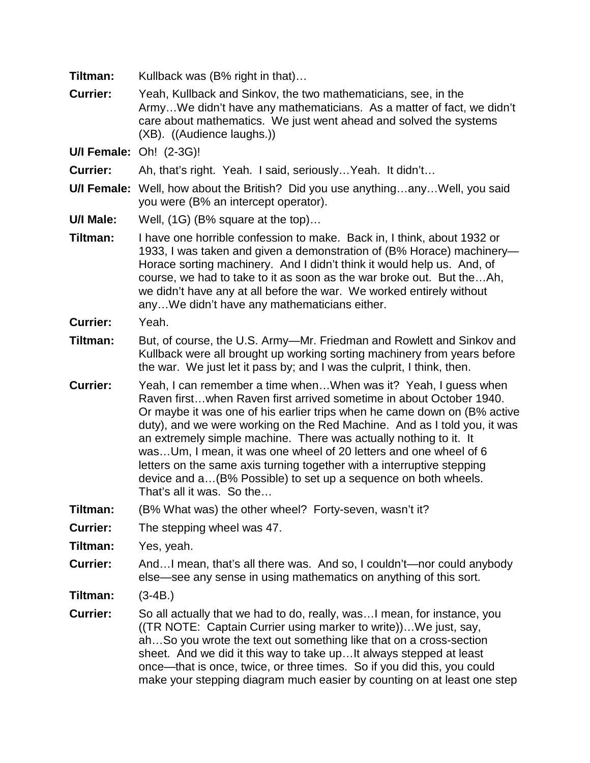| Tiltman:                       | Kullback was (B% right in that)                                                                                                                                                                                                                                                                                                                                                                                                                                                                                                                                                                                   |
|--------------------------------|-------------------------------------------------------------------------------------------------------------------------------------------------------------------------------------------------------------------------------------------------------------------------------------------------------------------------------------------------------------------------------------------------------------------------------------------------------------------------------------------------------------------------------------------------------------------------------------------------------------------|
| <b>Currier:</b>                | Yeah, Kullback and Sinkov, the two mathematicians, see, in the<br>ArmyWe didn't have any mathematicians. As a matter of fact, we didn't<br>care about mathematics. We just went ahead and solved the systems<br>(XB). ((Audience laughs.))                                                                                                                                                                                                                                                                                                                                                                        |
| <b>U/I Female: Oh! (2-3G)!</b> |                                                                                                                                                                                                                                                                                                                                                                                                                                                                                                                                                                                                                   |
| <b>Currier:</b>                | Ah, that's right. Yeah. I said, seriously Yeah. It didn't                                                                                                                                                                                                                                                                                                                                                                                                                                                                                                                                                         |
|                                | <b>U/I Female:</b> Well, how about the British? Did you use anythinganyWell, you said<br>you were (B% an intercept operator).                                                                                                                                                                                                                                                                                                                                                                                                                                                                                     |
| U/I Male:                      | Well, (1G) (B% square at the top)                                                                                                                                                                                                                                                                                                                                                                                                                                                                                                                                                                                 |
| Tiltman:                       | I have one horrible confession to make. Back in, I think, about 1932 or<br>1933, I was taken and given a demonstration of (B% Horace) machinery-<br>Horace sorting machinery. And I didn't think it would help us. And, of<br>course, we had to take to it as soon as the war broke out. But theAh,<br>we didn't have any at all before the war. We worked entirely without<br>anyWe didn't have any mathematicians either.                                                                                                                                                                                       |
| <b>Currier:</b>                | Yeah.                                                                                                                                                                                                                                                                                                                                                                                                                                                                                                                                                                                                             |
| Tiltman:                       | But, of course, the U.S. Army—Mr. Friedman and Rowlett and Sinkov and<br>Kullback were all brought up working sorting machinery from years before<br>the war. We just let it pass by; and I was the culprit, I think, then.                                                                                                                                                                                                                                                                                                                                                                                       |
| <b>Currier:</b>                | Yeah, I can remember a time whenWhen was it? Yeah, I guess when<br>Raven firstwhen Raven first arrived sometime in about October 1940.<br>Or maybe it was one of his earlier trips when he came down on (B% active<br>duty), and we were working on the Red Machine. And as I told you, it was<br>an extremely simple machine. There was actually nothing to it. It<br>wasUm, I mean, it was one wheel of 20 letters and one wheel of 6<br>letters on the same axis turning together with a interruptive stepping<br>device and a (B% Possible) to set up a sequence on both wheels.<br>That's all it was. So the |
| Tiltman:                       | (B% What was) the other wheel? Forty-seven, wasn't it?                                                                                                                                                                                                                                                                                                                                                                                                                                                                                                                                                            |
| <b>Currier:</b>                | The stepping wheel was 47.                                                                                                                                                                                                                                                                                                                                                                                                                                                                                                                                                                                        |
| Tiltman:                       | Yes, yeah.                                                                                                                                                                                                                                                                                                                                                                                                                                                                                                                                                                                                        |
| <b>Currier:</b>                | AndI mean, that's all there was. And so, I couldn't—nor could anybody<br>else—see any sense in using mathematics on anything of this sort.                                                                                                                                                                                                                                                                                                                                                                                                                                                                        |
| Tiltman:                       | $(3-4B.)$                                                                                                                                                                                                                                                                                                                                                                                                                                                                                                                                                                                                         |
| <b>Currier:</b>                | So all actually that we had to do, really, was I mean, for instance, you<br>((TR NOTE: Captain Currier using marker to write))We just, say,<br>ahSo you wrote the text out something like that on a cross-section<br>sheet. And we did it this way to take upIt always stepped at least<br>once—that is once, twice, or three times. So if you did this, you could<br>make your stepping diagram much easier by counting on at least one step                                                                                                                                                                     |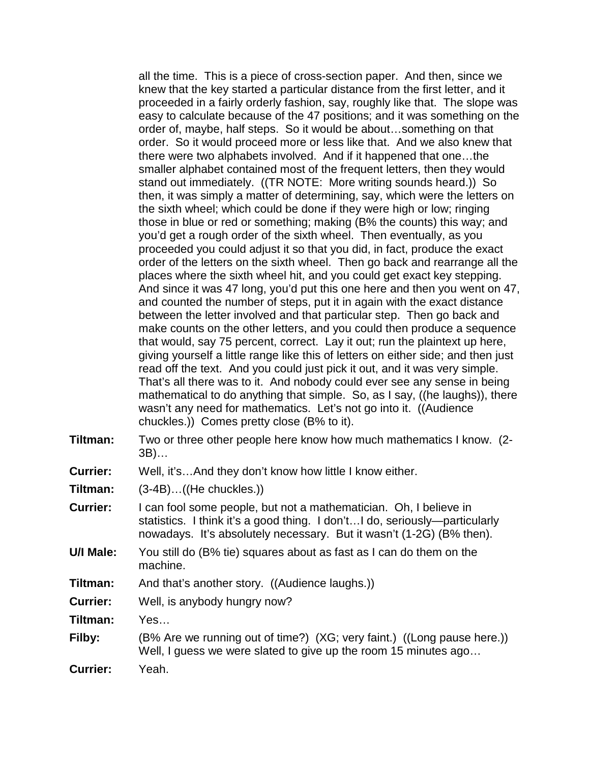all the time. This is a piece of cross-section paper. And then, since we knew that the key started a particular distance from the first letter, and it proceeded in a fairly orderly fashion, say, roughly like that. The slope was easy to calculate because of the 47 positions; and it was something on the order of, maybe, half steps. So it would be about…something on that order. So it would proceed more or less like that. And we also knew that there were two alphabets involved. And if it happened that one…the smaller alphabet contained most of the frequent letters, then they would stand out immediately. ((TR NOTE: More writing sounds heard.)) So then, it was simply a matter of determining, say, which were the letters on the sixth wheel; which could be done if they were high or low; ringing those in blue or red or something; making (B% the counts) this way; and you'd get a rough order of the sixth wheel. Then eventually, as you proceeded you could adjust it so that you did, in fact, produce the exact order of the letters on the sixth wheel. Then go back and rearrange all the places where the sixth wheel hit, and you could get exact key stepping. And since it was 47 long, you'd put this one here and then you went on 47, and counted the number of steps, put it in again with the exact distance between the letter involved and that particular step. Then go back and make counts on the other letters, and you could then produce a sequence that would, say 75 percent, correct. Lay it out; run the plaintext up here, giving yourself a little range like this of letters on either side; and then just read off the text. And you could just pick it out, and it was very simple. That's all there was to it. And nobody could ever see any sense in being mathematical to do anything that simple. So, as I say, ((he laughs)), there wasn't any need for mathematics. Let's not go into it. ((Audience chuckles.)) Comes pretty close (B% to it).

- **Tiltman:** Two or three other people here know how much mathematics I know. (2- 3B)…
- **Currier:** Well, it's…And they don't know how little I know either.

**Tiltman:** (3-4B)…((He chuckles.))

- **Currier:** I can fool some people, but not a mathematician. Oh, I believe in statistics. I think it's a good thing. I don't…I do, seriously—particularly nowadays. It's absolutely necessary. But it wasn't (1-2G) (B% then).
- **U/I Male:** You still do (B% tie) squares about as fast as I can do them on the machine.
- **Tiltman:** And that's another story. ((Audience laughs.))

**Currier:** Well, is anybody hungry now?

**Tiltman:** Yes…

**Filby:** (B% Are we running out of time?) (XG; very faint.) ((Long pause here.)) Well, I guess we were slated to give up the room 15 minutes ago…

**Currier:** Yeah.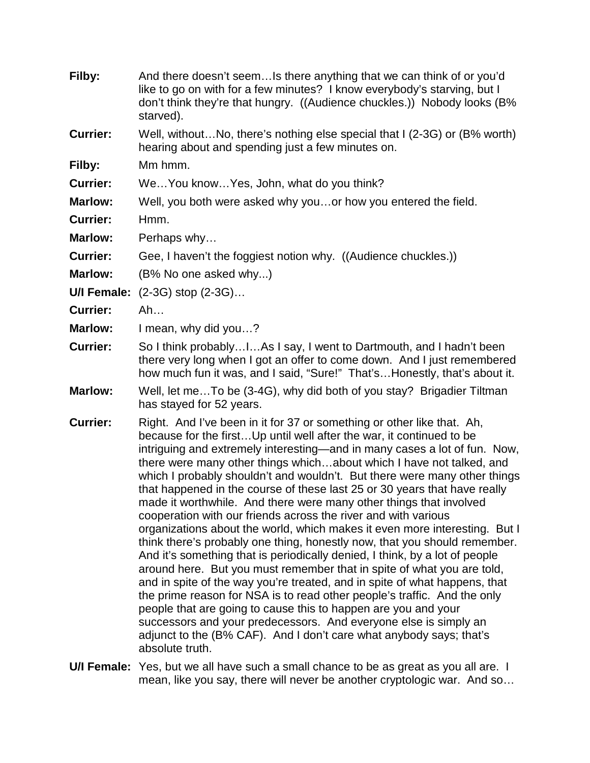| Filby:             | And there doesn't seemIs there anything that we can think of or you'd<br>like to go on with for a few minutes? I know everybody's starving, but I<br>don't think they're that hungry. ((Audience chuckles.)) Nobody looks (B%<br>starved).                                                                                                                                                                                                                                                                                                                                                                                                                                                                                                                                                                                                                                                                                                                                                                                                                                                                                                                                                                                                                                                                           |
|--------------------|----------------------------------------------------------------------------------------------------------------------------------------------------------------------------------------------------------------------------------------------------------------------------------------------------------------------------------------------------------------------------------------------------------------------------------------------------------------------------------------------------------------------------------------------------------------------------------------------------------------------------------------------------------------------------------------------------------------------------------------------------------------------------------------------------------------------------------------------------------------------------------------------------------------------------------------------------------------------------------------------------------------------------------------------------------------------------------------------------------------------------------------------------------------------------------------------------------------------------------------------------------------------------------------------------------------------|
| <b>Currier:</b>    | Well, withoutNo, there's nothing else special that I (2-3G) or (B% worth)<br>hearing about and spending just a few minutes on.                                                                                                                                                                                                                                                                                                                                                                                                                                                                                                                                                                                                                                                                                                                                                                                                                                                                                                                                                                                                                                                                                                                                                                                       |
| Filby:             | Mm hmm.                                                                                                                                                                                                                                                                                                                                                                                                                                                                                                                                                                                                                                                                                                                                                                                                                                                                                                                                                                                                                                                                                                                                                                                                                                                                                                              |
| <b>Currier:</b>    | WeYou knowYes, John, what do you think?                                                                                                                                                                                                                                                                                                                                                                                                                                                                                                                                                                                                                                                                                                                                                                                                                                                                                                                                                                                                                                                                                                                                                                                                                                                                              |
| <b>Marlow:</b>     | Well, you both were asked why youor how you entered the field.                                                                                                                                                                                                                                                                                                                                                                                                                                                                                                                                                                                                                                                                                                                                                                                                                                                                                                                                                                                                                                                                                                                                                                                                                                                       |
| <b>Currier:</b>    | Hmm.                                                                                                                                                                                                                                                                                                                                                                                                                                                                                                                                                                                                                                                                                                                                                                                                                                                                                                                                                                                                                                                                                                                                                                                                                                                                                                                 |
| <b>Marlow:</b>     | Perhaps why                                                                                                                                                                                                                                                                                                                                                                                                                                                                                                                                                                                                                                                                                                                                                                                                                                                                                                                                                                                                                                                                                                                                                                                                                                                                                                          |
| <b>Currier:</b>    | Gee, I haven't the foggiest notion why. ((Audience chuckles.))                                                                                                                                                                                                                                                                                                                                                                                                                                                                                                                                                                                                                                                                                                                                                                                                                                                                                                                                                                                                                                                                                                                                                                                                                                                       |
| <b>Marlow:</b>     | (B% No one asked why)                                                                                                                                                                                                                                                                                                                                                                                                                                                                                                                                                                                                                                                                                                                                                                                                                                                                                                                                                                                                                                                                                                                                                                                                                                                                                                |
| <b>U/I Female:</b> | $(2-3G)$ stop $(2-3G)$                                                                                                                                                                                                                                                                                                                                                                                                                                                                                                                                                                                                                                                                                                                                                                                                                                                                                                                                                                                                                                                                                                                                                                                                                                                                                               |
| <b>Currier:</b>    | Ah                                                                                                                                                                                                                                                                                                                                                                                                                                                                                                                                                                                                                                                                                                                                                                                                                                                                                                                                                                                                                                                                                                                                                                                                                                                                                                                   |
| <b>Marlow:</b>     | I mean, why did you?                                                                                                                                                                                                                                                                                                                                                                                                                                                                                                                                                                                                                                                                                                                                                                                                                                                                                                                                                                                                                                                                                                                                                                                                                                                                                                 |
| <b>Currier:</b>    | So I think probablyIAs I say, I went to Dartmouth, and I hadn't been<br>there very long when I got an offer to come down. And I just remembered<br>how much fun it was, and I said, "Sure!" That's Honestly, that's about it.                                                                                                                                                                                                                                                                                                                                                                                                                                                                                                                                                                                                                                                                                                                                                                                                                                                                                                                                                                                                                                                                                        |
| <b>Marlow:</b>     | Well, let me To be (3-4G), why did both of you stay? Brigadier Tiltman<br>has stayed for 52 years.                                                                                                                                                                                                                                                                                                                                                                                                                                                                                                                                                                                                                                                                                                                                                                                                                                                                                                                                                                                                                                                                                                                                                                                                                   |
| <b>Currier:</b>    | Right. And I've been in it for 37 or something or other like that. Ah,<br>because for the first Up until well after the war, it continued to be<br>intriguing and extremely interesting—and in many cases a lot of fun. Now,<br>there were many other things whichabout which I have not talked, and<br>which I probably shouldn't and wouldn't. But there were many other things<br>that happened in the course of these last 25 or 30 years that have really<br>made it worthwhile. And there were many other things that involved<br>cooperation with our friends across the river and with various<br>organizations about the world, which makes it even more interesting. But I<br>think there's probably one thing, honestly now, that you should remember.<br>And it's something that is periodically denied, I think, by a lot of people<br>around here. But you must remember that in spite of what you are told,<br>and in spite of the way you're treated, and in spite of what happens, that<br>the prime reason for NSA is to read other people's traffic. And the only<br>people that are going to cause this to happen are you and your<br>successors and your predecessors. And everyone else is simply an<br>adjunct to the (B% CAF). And I don't care what anybody says; that's<br>absolute truth. |

**U/I Female:** Yes, but we all have such a small chance to be as great as you all are. I mean, like you say, there will never be another cryptologic war. And so…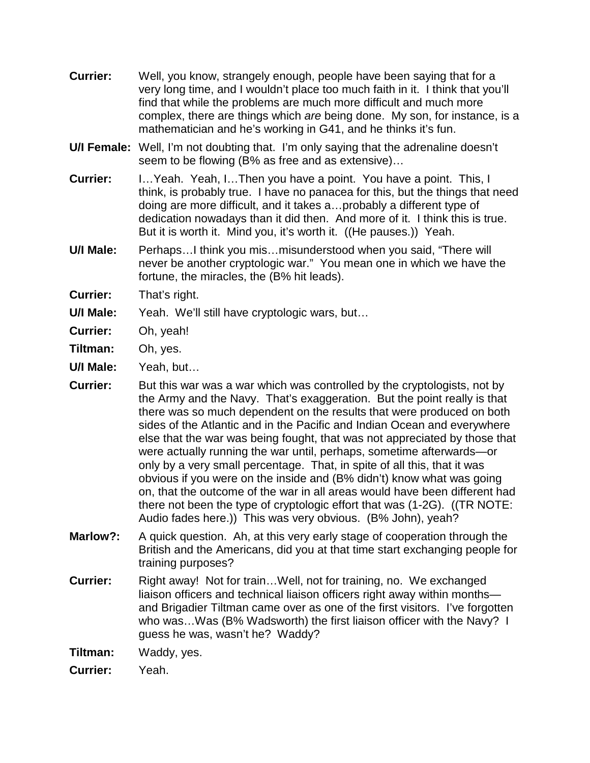- **Currier:** Well, you know, strangely enough, people have been saying that for a very long time, and I wouldn't place too much faith in it. I think that you'll find that while the problems are much more difficult and much more complex, there are things which *are* being done. My son, for instance, is a mathematician and he's working in G41, and he thinks it's fun.
- **U/I Female:** Well, I'm not doubting that. I'm only saying that the adrenaline doesn't seem to be flowing (B% as free and as extensive)…
- **Currier:** I…Yeah. Yeah, I…Then you have a point. You have a point. This, I think, is probably true. I have no panacea for this, but the things that need doing are more difficult, and it takes a…probably a different type of dedication nowadays than it did then. And more of it. I think this is true. But it is worth it. Mind you, it's worth it. ((He pauses.)) Yeah.
- **U/I Male:** Perhaps…I think you mis…misunderstood when you said, "There will never be another cryptologic war." You mean one in which we have the fortune, the miracles, the (B% hit leads).
- **Currier:** That's right.
- **U/I Male:** Yeah. We'll still have cryptologic wars, but…
- **Currier:** Oh, yeah!
- **Tiltman:** Oh, yes.
- **U/I Male:** Yeah, but…
- **Currier:** But this war was a war which was controlled by the cryptologists, not by the Army and the Navy. That's exaggeration. But the point really is that there was so much dependent on the results that were produced on both sides of the Atlantic and in the Pacific and Indian Ocean and everywhere else that the war was being fought, that was not appreciated by those that were actually running the war until, perhaps, sometime afterwards—or only by a very small percentage. That, in spite of all this, that it was obvious if you were on the inside and (B% didn't) know what was going on, that the outcome of the war in all areas would have been different had there not been the type of cryptologic effort that was (1-2G). ((TR NOTE: Audio fades here.)) This was very obvious. (B% John), yeah?
- **Marlow?:** A quick question. Ah, at this very early stage of cooperation through the British and the Americans, did you at that time start exchanging people for training purposes?
- **Currier:** Right away! Not for train...Well, not for training, no. We exchanged liaison officers and technical liaison officers right away within months and Brigadier Tiltman came over as one of the first visitors. I've forgotten who was...Was (B% Wadsworth) the first liaison officer with the Navy? I guess he was, wasn't he? Waddy?
- **Tiltman:** Waddy, yes.
- **Currier:** Yeah.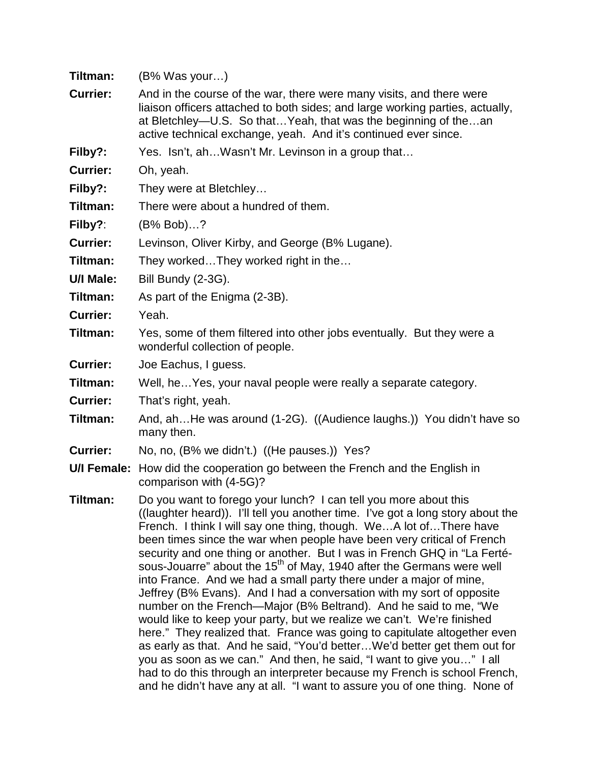| Tiltman:        | $(B\%$ Was your)                                                                                                                                                                                                                                                                                                                                                                                                                                                                                                                                                                                                                                                                                                                                                                                                                                                                                                                                                                                                                                                                                                                                                |
|-----------------|-----------------------------------------------------------------------------------------------------------------------------------------------------------------------------------------------------------------------------------------------------------------------------------------------------------------------------------------------------------------------------------------------------------------------------------------------------------------------------------------------------------------------------------------------------------------------------------------------------------------------------------------------------------------------------------------------------------------------------------------------------------------------------------------------------------------------------------------------------------------------------------------------------------------------------------------------------------------------------------------------------------------------------------------------------------------------------------------------------------------------------------------------------------------|
| <b>Currier:</b> | And in the course of the war, there were many visits, and there were<br>liaison officers attached to both sides; and large working parties, actually,<br>at Bletchley—U.S. So thatYeah, that was the beginning of thean<br>active technical exchange, yeah. And it's continued ever since.                                                                                                                                                                                                                                                                                                                                                                                                                                                                                                                                                                                                                                                                                                                                                                                                                                                                      |
| Filby?:         | Yes. Isn't, ahWasn't Mr. Levinson in a group that                                                                                                                                                                                                                                                                                                                                                                                                                                                                                                                                                                                                                                                                                                                                                                                                                                                                                                                                                                                                                                                                                                               |
| <b>Currier:</b> | Oh, yeah.                                                                                                                                                                                                                                                                                                                                                                                                                                                                                                                                                                                                                                                                                                                                                                                                                                                                                                                                                                                                                                                                                                                                                       |
| Filby?:         | They were at Bletchley                                                                                                                                                                                                                                                                                                                                                                                                                                                                                                                                                                                                                                                                                                                                                                                                                                                                                                                                                                                                                                                                                                                                          |
| Tiltman:        | There were about a hundred of them.                                                                                                                                                                                                                                                                                                                                                                                                                                                                                                                                                                                                                                                                                                                                                                                                                                                                                                                                                                                                                                                                                                                             |
| Filby?:         | $(B\% Bob)?$                                                                                                                                                                                                                                                                                                                                                                                                                                                                                                                                                                                                                                                                                                                                                                                                                                                                                                                                                                                                                                                                                                                                                    |
| <b>Currier:</b> | Levinson, Oliver Kirby, and George (B% Lugane).                                                                                                                                                                                                                                                                                                                                                                                                                                                                                                                                                                                                                                                                                                                                                                                                                                                                                                                                                                                                                                                                                                                 |
| Tiltman:        | They workedThey worked right in the                                                                                                                                                                                                                                                                                                                                                                                                                                                                                                                                                                                                                                                                                                                                                                                                                                                                                                                                                                                                                                                                                                                             |
| U/I Male:       | Bill Bundy (2-3G).                                                                                                                                                                                                                                                                                                                                                                                                                                                                                                                                                                                                                                                                                                                                                                                                                                                                                                                                                                                                                                                                                                                                              |
| Tiltman:        | As part of the Enigma (2-3B).                                                                                                                                                                                                                                                                                                                                                                                                                                                                                                                                                                                                                                                                                                                                                                                                                                                                                                                                                                                                                                                                                                                                   |
| <b>Currier:</b> | Yeah.                                                                                                                                                                                                                                                                                                                                                                                                                                                                                                                                                                                                                                                                                                                                                                                                                                                                                                                                                                                                                                                                                                                                                           |
| Tiltman:        | Yes, some of them filtered into other jobs eventually. But they were a<br>wonderful collection of people.                                                                                                                                                                                                                                                                                                                                                                                                                                                                                                                                                                                                                                                                                                                                                                                                                                                                                                                                                                                                                                                       |
| <b>Currier:</b> | Joe Eachus, I guess.                                                                                                                                                                                                                                                                                                                                                                                                                                                                                                                                                                                                                                                                                                                                                                                                                                                                                                                                                                                                                                                                                                                                            |
| Tiltman:        | Well, he Yes, your naval people were really a separate category.                                                                                                                                                                                                                                                                                                                                                                                                                                                                                                                                                                                                                                                                                                                                                                                                                                                                                                                                                                                                                                                                                                |
| <b>Currier:</b> | That's right, yeah.                                                                                                                                                                                                                                                                                                                                                                                                                                                                                                                                                                                                                                                                                                                                                                                                                                                                                                                                                                                                                                                                                                                                             |
| Tiltman:        | And, ahHe was around (1-2G). ((Audience laughs.)) You didn't have so<br>many then.                                                                                                                                                                                                                                                                                                                                                                                                                                                                                                                                                                                                                                                                                                                                                                                                                                                                                                                                                                                                                                                                              |
| <b>Currier:</b> | No, no, (B% we didn't.) ((He pauses.)) Yes?                                                                                                                                                                                                                                                                                                                                                                                                                                                                                                                                                                                                                                                                                                                                                                                                                                                                                                                                                                                                                                                                                                                     |
| U/I Female:     | How did the cooperation go between the French and the English in<br>comparison with (4-5G)?                                                                                                                                                                                                                                                                                                                                                                                                                                                                                                                                                                                                                                                                                                                                                                                                                                                                                                                                                                                                                                                                     |
| Tiltman:        | Do you want to forego your lunch? I can tell you more about this<br>((laughter heard)). I'll tell you another time. I've got a long story about the<br>French. I think I will say one thing, though. WeA lot ofThere have<br>been times since the war when people have been very critical of French<br>security and one thing or another. But I was in French GHQ in "La Ferté-<br>sous-Jouarre" about the 15 <sup>th</sup> of May, 1940 after the Germans were well<br>into France. And we had a small party there under a major of mine,<br>Jeffrey (B% Evans). And I had a conversation with my sort of opposite<br>number on the French—Major (B% Beltrand). And he said to me, "We<br>would like to keep your party, but we realize we can't. We're finished<br>here." They realized that. France was going to capitulate altogether even<br>as early as that. And he said, "You'd better We'd better get them out for<br>you as soon as we can." And then, he said, "I want to give you" I all<br>had to do this through an interpreter because my French is school French,<br>and he didn't have any at all. "I want to assure you of one thing. None of |